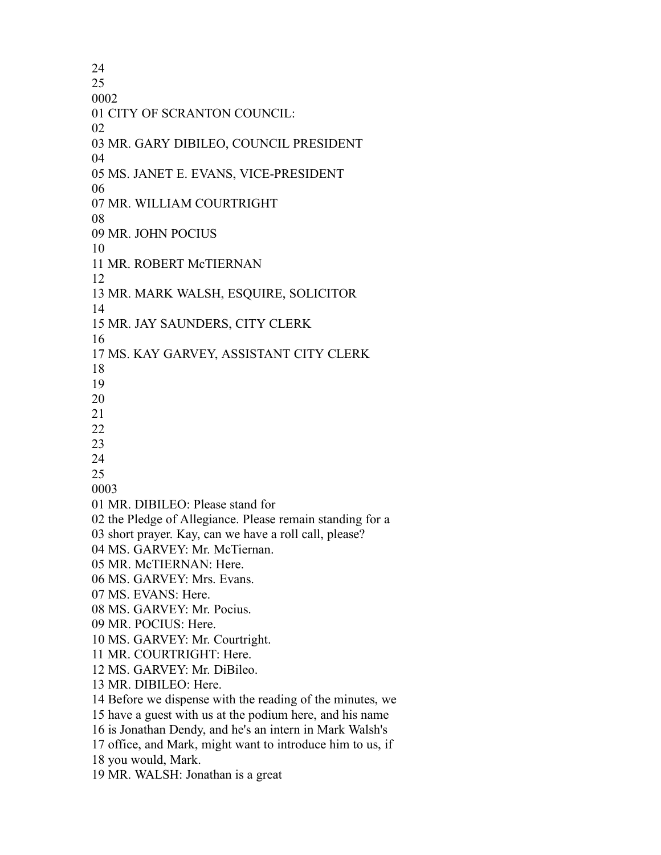CITY OF SCRANTON COUNCIL: MR. GARY DIBILEO, COUNCIL PRESIDENT MS. JANET E. EVANS, VICE-PRESIDENT MR. WILLIAM COURTRIGHT MR. JOHN POCIUS MR. ROBERT McTIERNAN MR. MARK WALSH, ESQUIRE, SOLICITOR MR. JAY SAUNDERS, CITY CLERK MS. KAY GARVEY, ASSISTANT CITY CLERK MR. DIBILEO: Please stand for the Pledge of Allegiance. Please remain standing for a short prayer. Kay, can we have a roll call, please? MS. GARVEY: Mr. McTiernan. MR. McTIERNAN: Here. MS. GARVEY: Mrs. Evans. MS. EVANS: Here. MS. GARVEY: Mr. Pocius. MR. POCIUS: Here. MS. GARVEY: Mr. Courtright. MR. COURTRIGHT: Here. MS. GARVEY: Mr. DiBileo. MR. DIBILEO: Here. Before we dispense with the reading of the minutes, we have a guest with us at the podium here, and his name is Jonathan Dendy, and he's an intern in Mark Walsh's office, and Mark, might want to introduce him to us, if you would, Mark. MR. WALSH: Jonathan is a great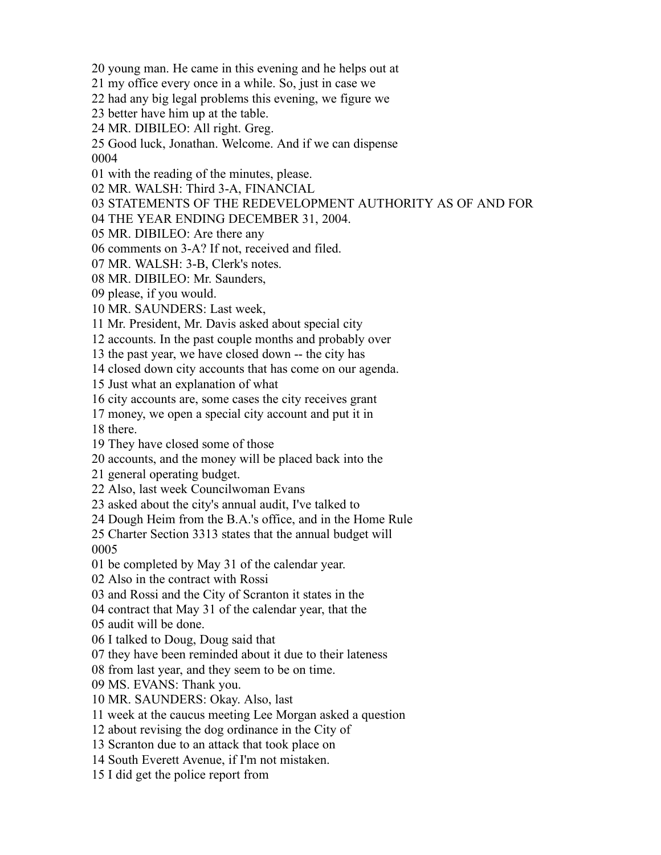young man. He came in this evening and he helps out at

my office every once in a while. So, just in case we

had any big legal problems this evening, we figure we

better have him up at the table.

MR. DIBILEO: All right. Greg.

 Good luck, Jonathan. Welcome. And if we can dispense 

with the reading of the minutes, please.

MR. WALSH: Third 3-A, FINANCIAL

STATEMENTS OF THE REDEVELOPMENT AUTHORITY AS OF AND FOR

THE YEAR ENDING DECEMBER 31, 2004.

MR. DIBILEO: Are there any

comments on 3-A? If not, received and filed.

MR. WALSH: 3-B, Clerk's notes.

MR. DIBILEO: Mr. Saunders,

please, if you would.

MR. SAUNDERS: Last week,

Mr. President, Mr. Davis asked about special city

accounts. In the past couple months and probably over

the past year, we have closed down -- the city has

closed down city accounts that has come on our agenda.

Just what an explanation of what

city accounts are, some cases the city receives grant

money, we open a special city account and put it in

there.

They have closed some of those

accounts, and the money will be placed back into the

general operating budget.

Also, last week Councilwoman Evans

asked about the city's annual audit, I've talked to

Dough Heim from the B.A.'s office, and in the Home Rule

 Charter Section 3313 states that the annual budget will 

be completed by May 31 of the calendar year.

Also in the contract with Rossi

and Rossi and the City of Scranton it states in the

contract that May 31 of the calendar year, that the

audit will be done.

I talked to Doug, Doug said that

they have been reminded about it due to their lateness

from last year, and they seem to be on time.

MS. EVANS: Thank you.

MR. SAUNDERS: Okay. Also, last

week at the caucus meeting Lee Morgan asked a question

about revising the dog ordinance in the City of

Scranton due to an attack that took place on

South Everett Avenue, if I'm not mistaken.

I did get the police report from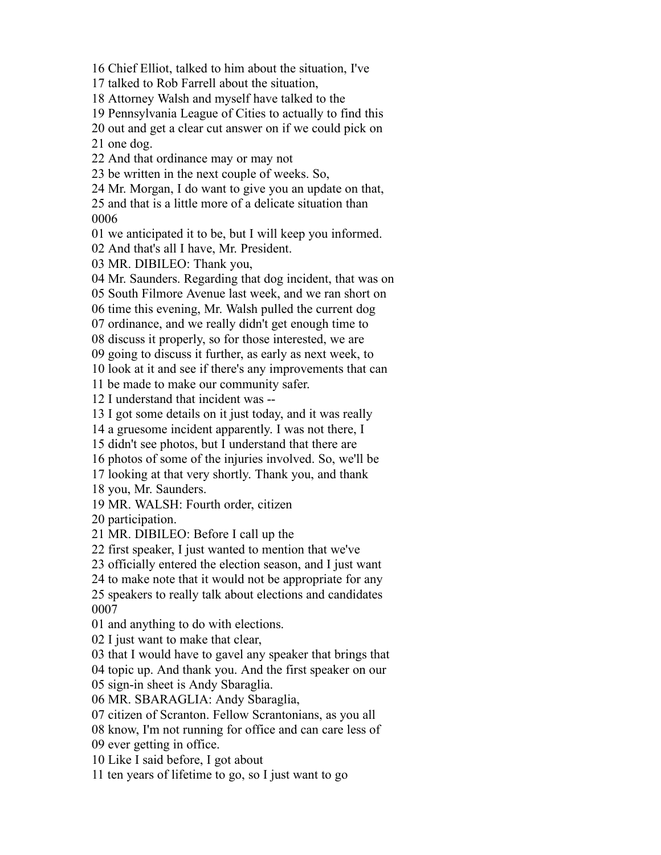Chief Elliot, talked to him about the situation, I've

talked to Rob Farrell about the situation,

Attorney Walsh and myself have talked to the

Pennsylvania League of Cities to actually to find this

out and get a clear cut answer on if we could pick on

one dog.

And that ordinance may or may not

be written in the next couple of weeks. So,

Mr. Morgan, I do want to give you an update on that,

 and that is a little more of a delicate situation than 

we anticipated it to be, but I will keep you informed.

And that's all I have, Mr. President.

MR. DIBILEO: Thank you,

Mr. Saunders. Regarding that dog incident, that was on

South Filmore Avenue last week, and we ran short on

time this evening, Mr. Walsh pulled the current dog

ordinance, and we really didn't get enough time to

discuss it properly, so for those interested, we are

going to discuss it further, as early as next week, to

look at it and see if there's any improvements that can

be made to make our community safer.

I understand that incident was --

I got some details on it just today, and it was really

a gruesome incident apparently. I was not there, I

didn't see photos, but I understand that there are

photos of some of the injuries involved. So, we'll be

looking at that very shortly. Thank you, and thank

you, Mr. Saunders.

MR. WALSH: Fourth order, citizen

participation.

MR. DIBILEO: Before I call up the

first speaker, I just wanted to mention that we've

officially entered the election season, and I just want

to make note that it would not be appropriate for any

 speakers to really talk about elections and candidates 

and anything to do with elections.

I just want to make that clear,

that I would have to gavel any speaker that brings that

topic up. And thank you. And the first speaker on our

sign-in sheet is Andy Sbaraglia.

MR. SBARAGLIA: Andy Sbaraglia,

citizen of Scranton. Fellow Scrantonians, as you all

know, I'm not running for office and can care less of

ever getting in office.

Like I said before, I got about

ten years of lifetime to go, so I just want to go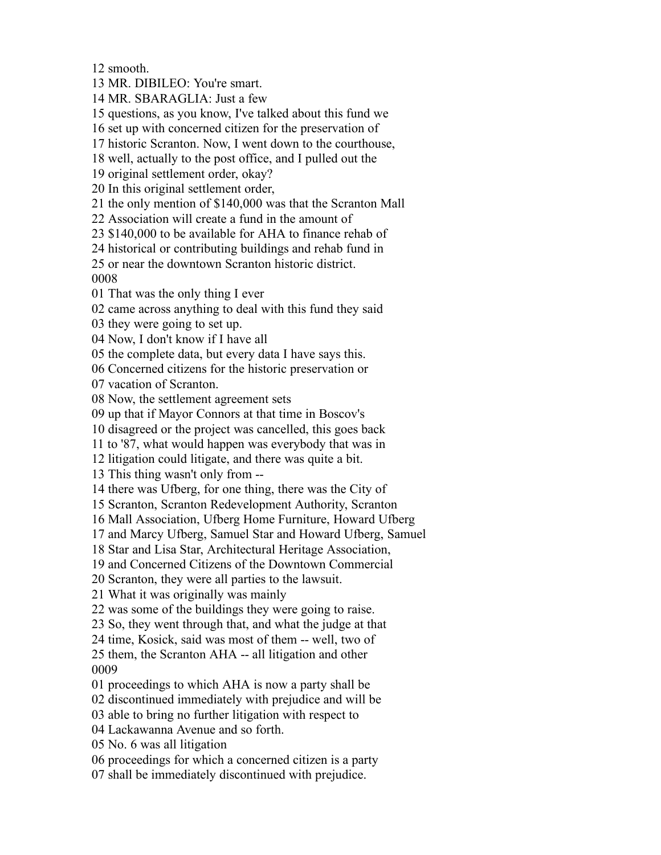smooth.

MR. DIBILEO: You're smart.

MR. SBARAGLIA: Just a few

questions, as you know, I've talked about this fund we

set up with concerned citizen for the preservation of

historic Scranton. Now, I went down to the courthouse,

well, actually to the post office, and I pulled out the

original settlement order, okay?

In this original settlement order,

the only mention of \$140,000 was that the Scranton Mall

Association will create a fund in the amount of

\$140,000 to be available for AHA to finance rehab of

historical or contributing buildings and rehab fund in

or near the downtown Scranton historic district.

That was the only thing I ever

came across anything to deal with this fund they said

they were going to set up.

Now, I don't know if I have all

the complete data, but every data I have says this.

Concerned citizens for the historic preservation or

vacation of Scranton.

Now, the settlement agreement sets

up that if Mayor Connors at that time in Boscov's

disagreed or the project was cancelled, this goes back

to '87, what would happen was everybody that was in

litigation could litigate, and there was quite a bit.

This thing wasn't only from --

there was Ufberg, for one thing, there was the City of

Scranton, Scranton Redevelopment Authority, Scranton

Mall Association, Ufberg Home Furniture, Howard Ufberg

and Marcy Ufberg, Samuel Star and Howard Ufberg, Samuel

Star and Lisa Star, Architectural Heritage Association,

and Concerned Citizens of the Downtown Commercial

Scranton, they were all parties to the lawsuit.

What it was originally was mainly

was some of the buildings they were going to raise.

So, they went through that, and what the judge at that

time, Kosick, said was most of them -- well, two of

 them, the Scranton AHA -- all litigation and other 

proceedings to which AHA is now a party shall be

discontinued immediately with prejudice and will be

able to bring no further litigation with respect to

Lackawanna Avenue and so forth.

No. 6 was all litigation

proceedings for which a concerned citizen is a party

shall be immediately discontinued with prejudice.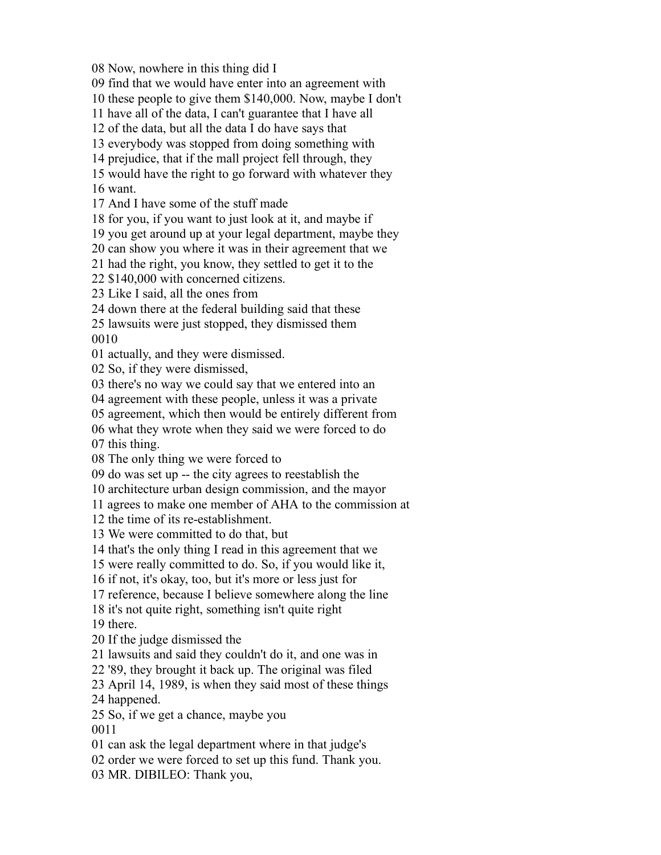Now, nowhere in this thing did I

find that we would have enter into an agreement with

these people to give them \$140,000. Now, maybe I don't

have all of the data, I can't guarantee that I have all

of the data, but all the data I do have says that

everybody was stopped from doing something with

prejudice, that if the mall project fell through, they

would have the right to go forward with whatever they

want.

And I have some of the stuff made

for you, if you want to just look at it, and maybe if

you get around up at your legal department, maybe they

can show you where it was in their agreement that we

had the right, you know, they settled to get it to the

\$140,000 with concerned citizens.

Like I said, all the ones from

down there at the federal building said that these

 lawsuits were just stopped, they dismissed them 

actually, and they were dismissed.

So, if they were dismissed,

there's no way we could say that we entered into an

agreement with these people, unless it was a private

agreement, which then would be entirely different from

what they wrote when they said we were forced to do

this thing.

The only thing we were forced to

do was set up -- the city agrees to reestablish the

architecture urban design commission, and the mayor

agrees to make one member of AHA to the commission at

the time of its re-establishment.

We were committed to do that, but

that's the only thing I read in this agreement that we

were really committed to do. So, if you would like it,

if not, it's okay, too, but it's more or less just for

reference, because I believe somewhere along the line

it's not quite right, something isn't quite right

there.

If the judge dismissed the

lawsuits and said they couldn't do it, and one was in

'89, they brought it back up. The original was filed

April 14, 1989, is when they said most of these things

happened.

So, if we get a chance, maybe you

can ask the legal department where in that judge's

order we were forced to set up this fund. Thank you.

MR. DIBILEO: Thank you,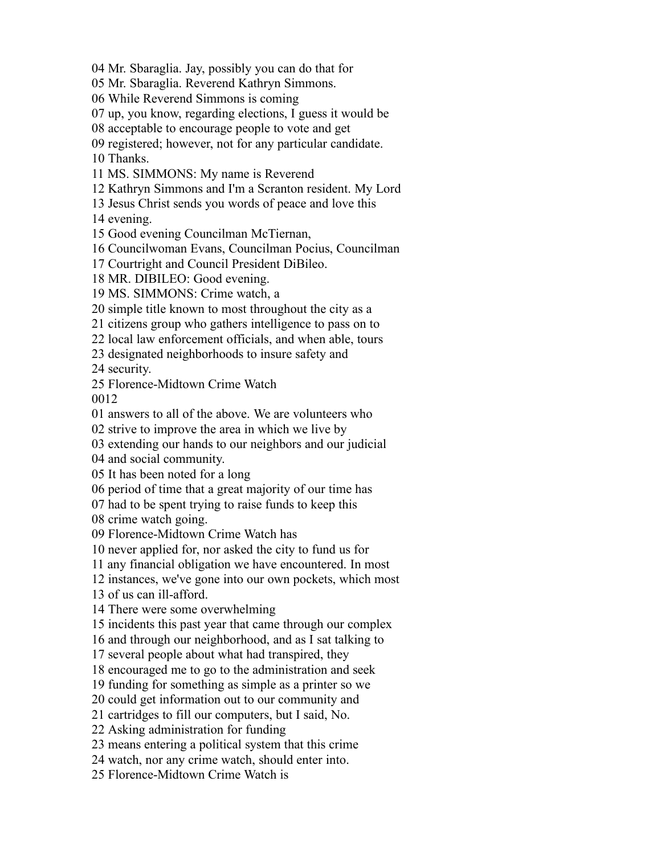Mr. Sbaraglia. Jay, possibly you can do that for

Mr. Sbaraglia. Reverend Kathryn Simmons.

While Reverend Simmons is coming

up, you know, regarding elections, I guess it would be

acceptable to encourage people to vote and get

registered; however, not for any particular candidate.

Thanks.

MS. SIMMONS: My name is Reverend

Kathryn Simmons and I'm a Scranton resident. My Lord

Jesus Christ sends you words of peace and love this

evening.

Good evening Councilman McTiernan,

Councilwoman Evans, Councilman Pocius, Councilman

Courtright and Council President DiBileo.

MR. DIBILEO: Good evening.

MS. SIMMONS: Crime watch, a

simple title known to most throughout the city as a

citizens group who gathers intelligence to pass on to

local law enforcement officials, and when able, tours

designated neighborhoods to insure safety and

security.

Florence-Midtown Crime Watch

answers to all of the above. We are volunteers who

strive to improve the area in which we live by

extending our hands to our neighbors and our judicial

and social community.

It has been noted for a long

period of time that a great majority of our time has

had to be spent trying to raise funds to keep this

crime watch going.

Florence-Midtown Crime Watch has

never applied for, nor asked the city to fund us for

any financial obligation we have encountered. In most

instances, we've gone into our own pockets, which most

of us can ill-afford.

There were some overwhelming

incidents this past year that came through our complex

and through our neighborhood, and as I sat talking to

several people about what had transpired, they

encouraged me to go to the administration and seek

funding for something as simple as a printer so we

could get information out to our community and

cartridges to fill our computers, but I said, No.

Asking administration for funding

means entering a political system that this crime

watch, nor any crime watch, should enter into.

Florence-Midtown Crime Watch is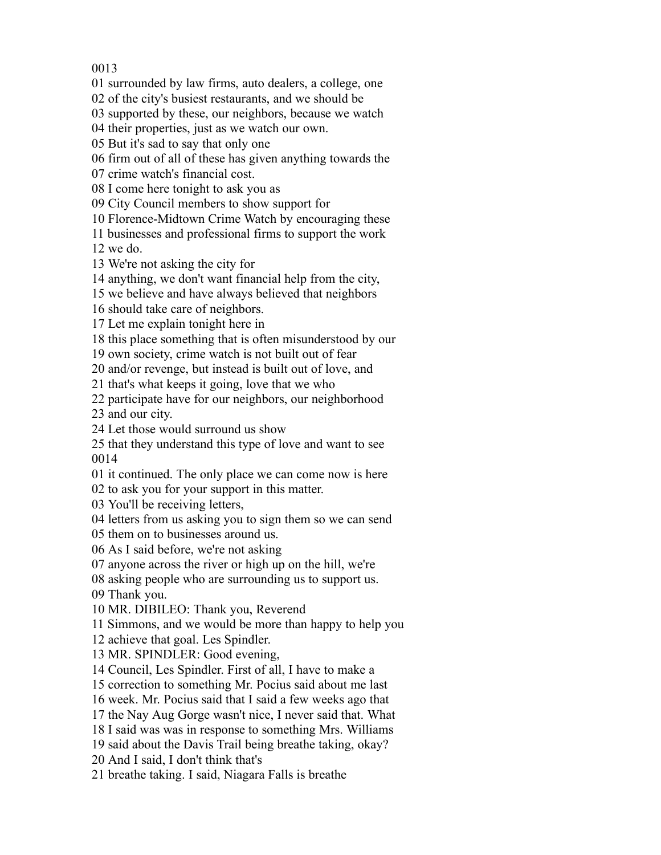surrounded by law firms, auto dealers, a college, one

of the city's busiest restaurants, and we should be

supported by these, our neighbors, because we watch

their properties, just as we watch our own.

But it's sad to say that only one

firm out of all of these has given anything towards the

crime watch's financial cost.

I come here tonight to ask you as

City Council members to show support for

Florence-Midtown Crime Watch by encouraging these

businesses and professional firms to support the work

we do.

We're not asking the city for

anything, we don't want financial help from the city,

we believe and have always believed that neighbors

should take care of neighbors.

Let me explain tonight here in

this place something that is often misunderstood by our

own society, crime watch is not built out of fear

and/or revenge, but instead is built out of love, and

that's what keeps it going, love that we who

participate have for our neighbors, our neighborhood

and our city.

Let those would surround us show

 that they understand this type of love and want to see 

it continued. The only place we can come now is here

to ask you for your support in this matter.

You'll be receiving letters,

letters from us asking you to sign them so we can send

them on to businesses around us.

As I said before, we're not asking

anyone across the river or high up on the hill, we're

asking people who are surrounding us to support us.

Thank you.

MR. DIBILEO: Thank you, Reverend

Simmons, and we would be more than happy to help you

achieve that goal. Les Spindler.

MR. SPINDLER: Good evening,

Council, Les Spindler. First of all, I have to make a

correction to something Mr. Pocius said about me last

week. Mr. Pocius said that I said a few weeks ago that

the Nay Aug Gorge wasn't nice, I never said that. What

I said was was in response to something Mrs. Williams

said about the Davis Trail being breathe taking, okay?

And I said, I don't think that's

breathe taking. I said, Niagara Falls is breathe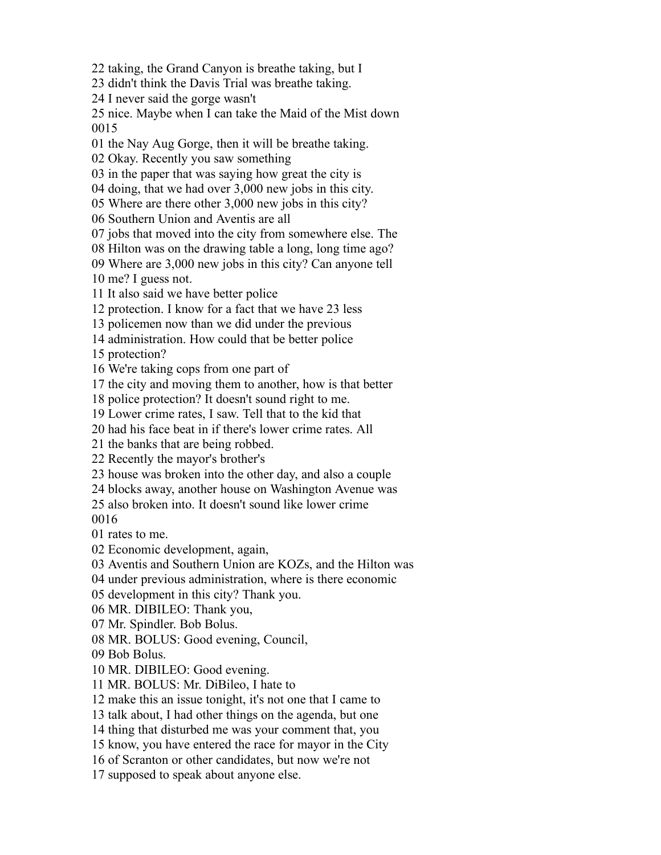taking, the Grand Canyon is breathe taking, but I

didn't think the Davis Trial was breathe taking.

I never said the gorge wasn't

 nice. Maybe when I can take the Maid of the Mist down 

the Nay Aug Gorge, then it will be breathe taking.

Okay. Recently you saw something

in the paper that was saying how great the city is

doing, that we had over 3,000 new jobs in this city.

Where are there other 3,000 new jobs in this city?

Southern Union and Aventis are all

jobs that moved into the city from somewhere else. The

Hilton was on the drawing table a long, long time ago?

Where are 3,000 new jobs in this city? Can anyone tell

me? I guess not.

It also said we have better police

protection. I know for a fact that we have 23 less

policemen now than we did under the previous

administration. How could that be better police

protection?

We're taking cops from one part of

the city and moving them to another, how is that better

police protection? It doesn't sound right to me.

Lower crime rates, I saw. Tell that to the kid that

had his face beat in if there's lower crime rates. All

the banks that are being robbed.

Recently the mayor's brother's

house was broken into the other day, and also a couple

blocks away, another house on Washington Avenue was

also broken into. It doesn't sound like lower crime

rates to me.

Economic development, again,

Aventis and Southern Union are KOZs, and the Hilton was

under previous administration, where is there economic

development in this city? Thank you.

MR. DIBILEO: Thank you,

Mr. Spindler. Bob Bolus.

MR. BOLUS: Good evening, Council,

Bob Bolus.

MR. DIBILEO: Good evening.

MR. BOLUS: Mr. DiBileo, I hate to

make this an issue tonight, it's not one that I came to

talk about, I had other things on the agenda, but one

thing that disturbed me was your comment that, you

know, you have entered the race for mayor in the City

of Scranton or other candidates, but now we're not

supposed to speak about anyone else.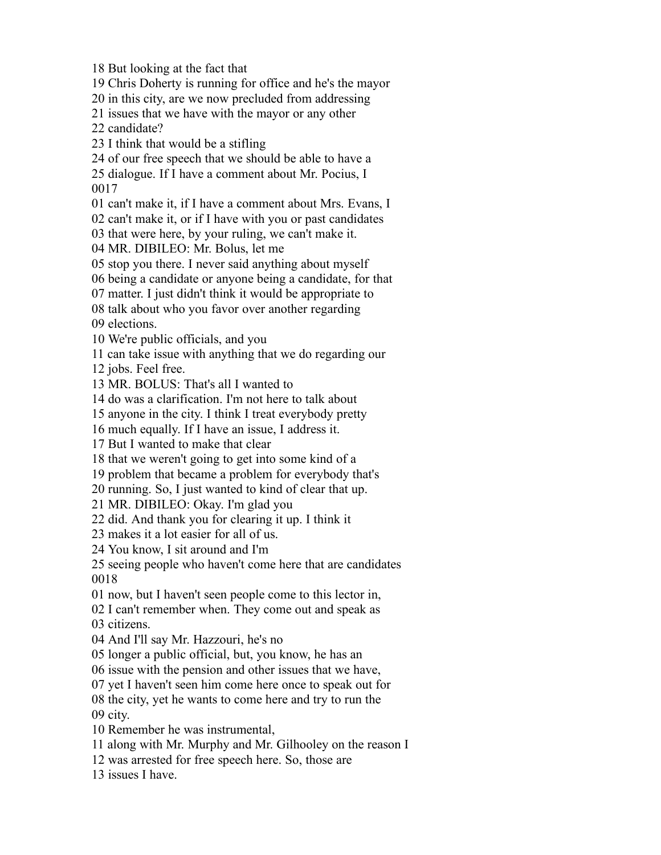But looking at the fact that

Chris Doherty is running for office and he's the mayor

in this city, are we now precluded from addressing

issues that we have with the mayor or any other

candidate?

I think that would be a stifling

of our free speech that we should be able to have a

 dialogue. If I have a comment about Mr. Pocius, I 

can't make it, if I have a comment about Mrs. Evans, I

can't make it, or if I have with you or past candidates

that were here, by your ruling, we can't make it.

MR. DIBILEO: Mr. Bolus, let me

stop you there. I never said anything about myself

being a candidate or anyone being a candidate, for that

matter. I just didn't think it would be appropriate to

talk about who you favor over another regarding

elections.

We're public officials, and you

can take issue with anything that we do regarding our

jobs. Feel free.

MR. BOLUS: That's all I wanted to

do was a clarification. I'm not here to talk about

anyone in the city. I think I treat everybody pretty

much equally. If I have an issue, I address it.

But I wanted to make that clear

that we weren't going to get into some kind of a

problem that became a problem for everybody that's

running. So, I just wanted to kind of clear that up.

MR. DIBILEO: Okay. I'm glad you

did. And thank you for clearing it up. I think it

makes it a lot easier for all of us.

You know, I sit around and I'm

 seeing people who haven't come here that are candidates 

now, but I haven't seen people come to this lector in,

I can't remember when. They come out and speak as

citizens.

And I'll say Mr. Hazzouri, he's no

longer a public official, but, you know, he has an

issue with the pension and other issues that we have,

yet I haven't seen him come here once to speak out for

the city, yet he wants to come here and try to run the

city.

Remember he was instrumental,

along with Mr. Murphy and Mr. Gilhooley on the reason I

was arrested for free speech here. So, those are

issues I have.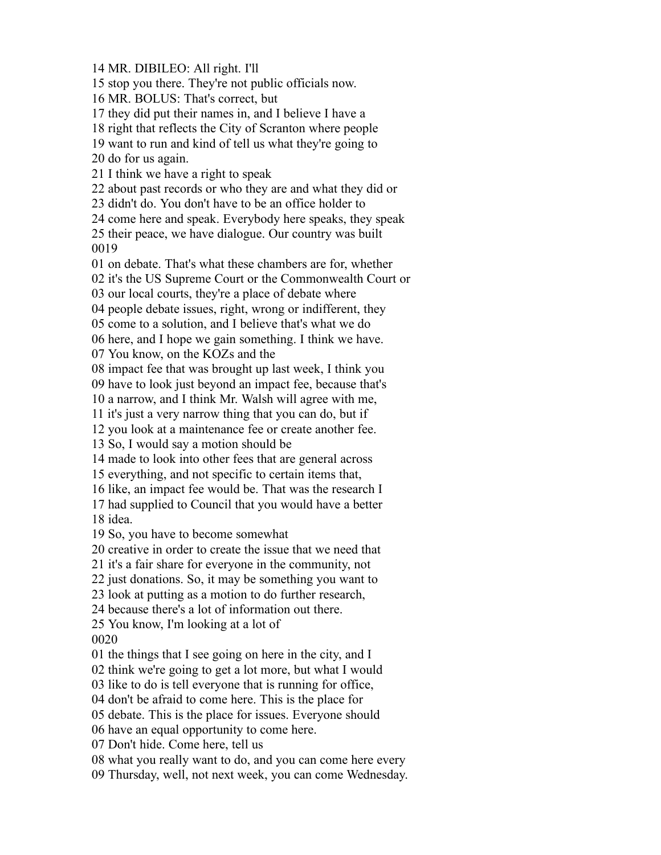MR. DIBILEO: All right. I'll

stop you there. They're not public officials now.

MR. BOLUS: That's correct, but

they did put their names in, and I believe I have a

right that reflects the City of Scranton where people

want to run and kind of tell us what they're going to

do for us again.

I think we have a right to speak

about past records or who they are and what they did or

didn't do. You don't have to be an office holder to

come here and speak. Everybody here speaks, they speak

 their peace, we have dialogue. Our country was built 

on debate. That's what these chambers are for, whether

it's the US Supreme Court or the Commonwealth Court or

our local courts, they're a place of debate where

people debate issues, right, wrong or indifferent, they

come to a solution, and I believe that's what we do

here, and I hope we gain something. I think we have.

You know, on the KOZs and the

impact fee that was brought up last week, I think you

have to look just beyond an impact fee, because that's

a narrow, and I think Mr. Walsh will agree with me,

it's just a very narrow thing that you can do, but if

you look at a maintenance fee or create another fee.

So, I would say a motion should be

made to look into other fees that are general across

everything, and not specific to certain items that,

like, an impact fee would be. That was the research I

 had supplied to Council that you would have a better idea.

So, you have to become somewhat

creative in order to create the issue that we need that

it's a fair share for everyone in the community, not

just donations. So, it may be something you want to

look at putting as a motion to do further research,

because there's a lot of information out there.

You know, I'm looking at a lot of

the things that I see going on here in the city, and I

think we're going to get a lot more, but what I would

like to do is tell everyone that is running for office,

don't be afraid to come here. This is the place for

debate. This is the place for issues. Everyone should

have an equal opportunity to come here.

Don't hide. Come here, tell us

what you really want to do, and you can come here every

Thursday, well, not next week, you can come Wednesday.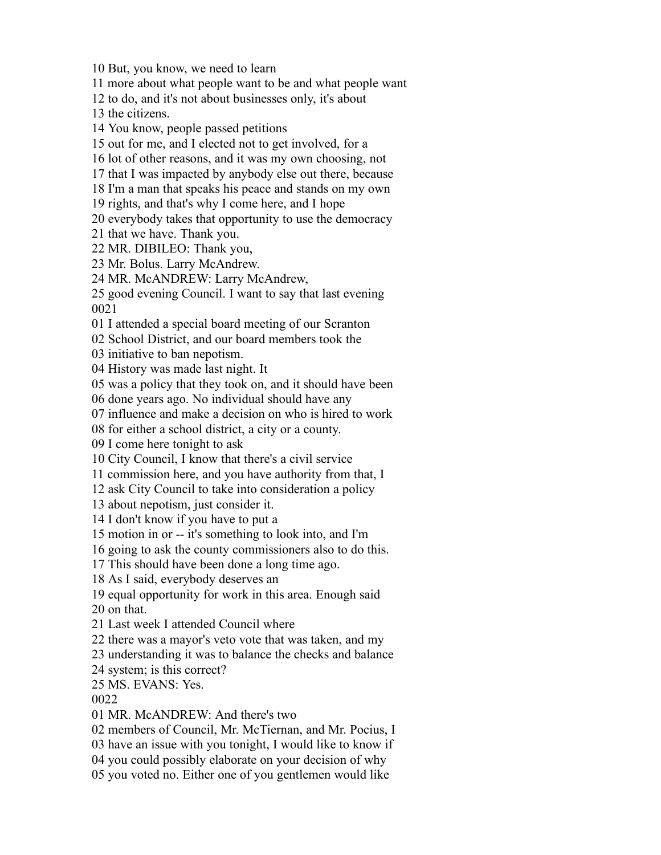But, you know, we need to learn

more about what people want to be and what people want

to do, and it's not about businesses only, it's about

the citizens.

You know, people passed petitions

out for me, and I elected not to get involved, for a

lot of other reasons, and it was my own choosing, not

that I was impacted by anybody else out there, because

I'm a man that speaks his peace and stands on my own

rights, and that's why I come here, and I hope

everybody takes that opportunity to use the democracy

that we have. Thank you.

MR. DIBILEO: Thank you,

Mr. Bolus. Larry McAndrew.

MR. McANDREW: Larry McAndrew,

 good evening Council. I want to say that last evening 

I attended a special board meeting of our Scranton

School District, and our board members took the

initiative to ban nepotism.

History was made last night. It

was a policy that they took on, and it should have been

done years ago. No individual should have any

influence and make a decision on who is hired to work

for either a school district, a city or a county.

I come here tonight to ask

City Council, I know that there's a civil service

commission here, and you have authority from that, I

ask City Council to take into consideration a policy

about nepotism, just consider it.

I don't know if you have to put a

motion in or -- it's something to look into, and I'm

going to ask the county commissioners also to do this.

This should have been done a long time ago.

As I said, everybody deserves an

 equal opportunity for work in this area. Enough said on that.

Last week I attended Council where

there was a mayor's veto vote that was taken, and my

understanding it was to balance the checks and balance

system; is this correct?

MS. EVANS: Yes.

MR. McANDREW: And there's two

members of Council, Mr. McTiernan, and Mr. Pocius, I

have an issue with you tonight, I would like to know if

you could possibly elaborate on your decision of why

you voted no. Either one of you gentlemen would like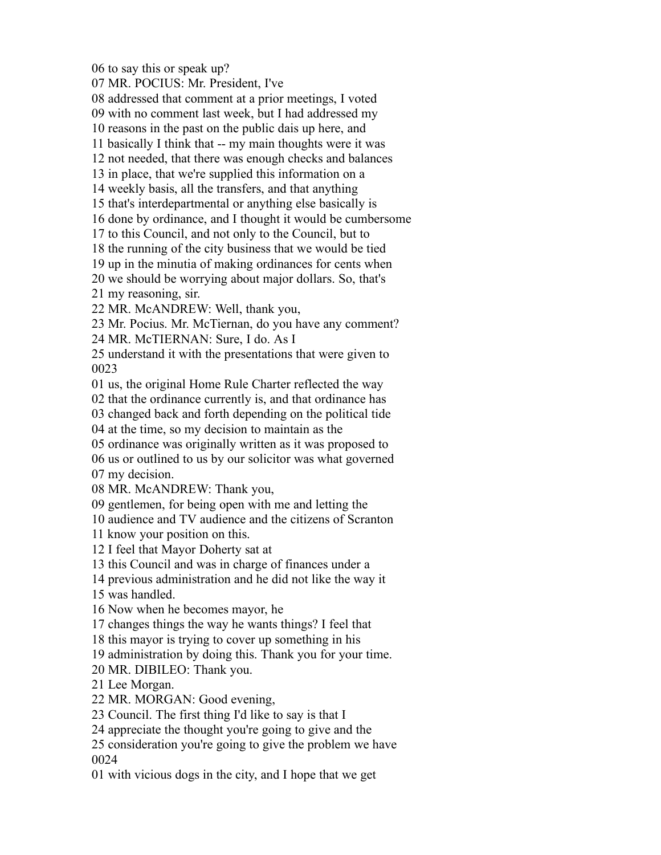to say this or speak up?

MR. POCIUS: Mr. President, I've

addressed that comment at a prior meetings, I voted

with no comment last week, but I had addressed my

reasons in the past on the public dais up here, and

basically I think that -- my main thoughts were it was

not needed, that there was enough checks and balances

in place, that we're supplied this information on a

weekly basis, all the transfers, and that anything

that's interdepartmental or anything else basically is

done by ordinance, and I thought it would be cumbersome

to this Council, and not only to the Council, but to

the running of the city business that we would be tied

up in the minutia of making ordinances for cents when

we should be worrying about major dollars. So, that's

my reasoning, sir.

MR. McANDREW: Well, thank you,

Mr. Pocius. Mr. McTiernan, do you have any comment?

MR. McTIERNAN: Sure, I do. As I

 understand it with the presentations that were given to 

us, the original Home Rule Charter reflected the way

that the ordinance currently is, and that ordinance has

changed back and forth depending on the political tide

at the time, so my decision to maintain as the

ordinance was originally written as it was proposed to

us or outlined to us by our solicitor was what governed

my decision.

MR. McANDREW: Thank you,

gentlemen, for being open with me and letting the

audience and TV audience and the citizens of Scranton

know your position on this.

I feel that Mayor Doherty sat at

this Council and was in charge of finances under a

previous administration and he did not like the way it

was handled.

Now when he becomes mayor, he

changes things the way he wants things? I feel that

this mayor is trying to cover up something in his

administration by doing this. Thank you for your time.

MR. DIBILEO: Thank you.

Lee Morgan.

MR. MORGAN: Good evening,

Council. The first thing I'd like to say is that I

appreciate the thought you're going to give and the

 consideration you're going to give the problem we have 

with vicious dogs in the city, and I hope that we get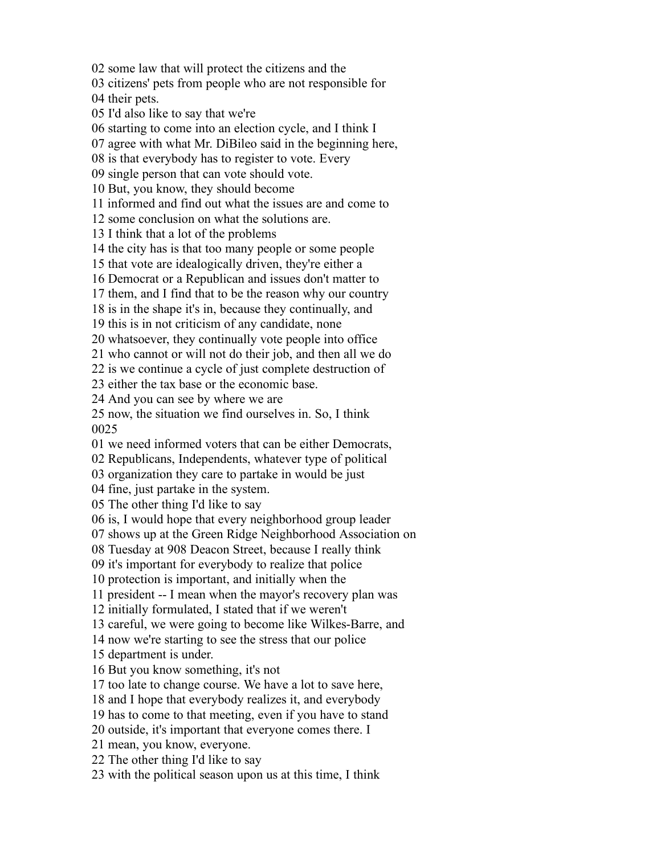some law that will protect the citizens and the

citizens' pets from people who are not responsible for

their pets.

I'd also like to say that we're

starting to come into an election cycle, and I think I

agree with what Mr. DiBileo said in the beginning here,

is that everybody has to register to vote. Every

single person that can vote should vote.

But, you know, they should become

informed and find out what the issues are and come to

some conclusion on what the solutions are.

I think that a lot of the problems

the city has is that too many people or some people

that vote are idealogically driven, they're either a

Democrat or a Republican and issues don't matter to

them, and I find that to be the reason why our country

is in the shape it's in, because they continually, and

this is in not criticism of any candidate, none

whatsoever, they continually vote people into office

who cannot or will not do their job, and then all we do

is we continue a cycle of just complete destruction of

either the tax base or the economic base.

And you can see by where we are

 now, the situation we find ourselves in. So, I think 

we need informed voters that can be either Democrats,

Republicans, Independents, whatever type of political

organization they care to partake in would be just

fine, just partake in the system.

The other thing I'd like to say

is, I would hope that every neighborhood group leader

shows up at the Green Ridge Neighborhood Association on

Tuesday at 908 Deacon Street, because I really think

it's important for everybody to realize that police

protection is important, and initially when the

president -- I mean when the mayor's recovery plan was

initially formulated, I stated that if we weren't

careful, we were going to become like Wilkes-Barre, and

now we're starting to see the stress that our police

department is under.

But you know something, it's not

too late to change course. We have a lot to save here,

and I hope that everybody realizes it, and everybody

has to come to that meeting, even if you have to stand

outside, it's important that everyone comes there. I

mean, you know, everyone.

The other thing I'd like to say

with the political season upon us at this time, I think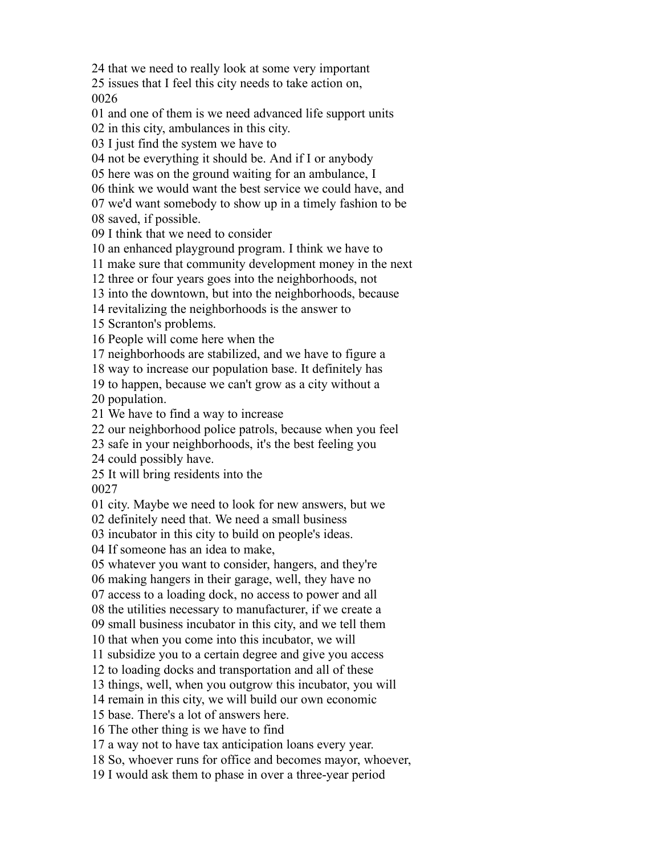that we need to really look at some very important

 issues that I feel this city needs to take action on, 

and one of them is we need advanced life support units

in this city, ambulances in this city.

I just find the system we have to

not be everything it should be. And if I or anybody

here was on the ground waiting for an ambulance, I

think we would want the best service we could have, and

we'd want somebody to show up in a timely fashion to be

saved, if possible.

I think that we need to consider

an enhanced playground program. I think we have to

make sure that community development money in the next

three or four years goes into the neighborhoods, not

into the downtown, but into the neighborhoods, because

revitalizing the neighborhoods is the answer to

Scranton's problems.

People will come here when the

neighborhoods are stabilized, and we have to figure a

way to increase our population base. It definitely has

to happen, because we can't grow as a city without a

population.

We have to find a way to increase

our neighborhood police patrols, because when you feel

safe in your neighborhoods, it's the best feeling you

could possibly have.

 It will bring residents into the 

city. Maybe we need to look for new answers, but we

definitely need that. We need a small business

incubator in this city to build on people's ideas.

If someone has an idea to make,

whatever you want to consider, hangers, and they're

making hangers in their garage, well, they have no

access to a loading dock, no access to power and all

the utilities necessary to manufacturer, if we create a

small business incubator in this city, and we tell them

that when you come into this incubator, we will

subsidize you to a certain degree and give you access

to loading docks and transportation and all of these

things, well, when you outgrow this incubator, you will

remain in this city, we will build our own economic

base. There's a lot of answers here.

The other thing is we have to find

a way not to have tax anticipation loans every year.

So, whoever runs for office and becomes mayor, whoever,

I would ask them to phase in over a three-year period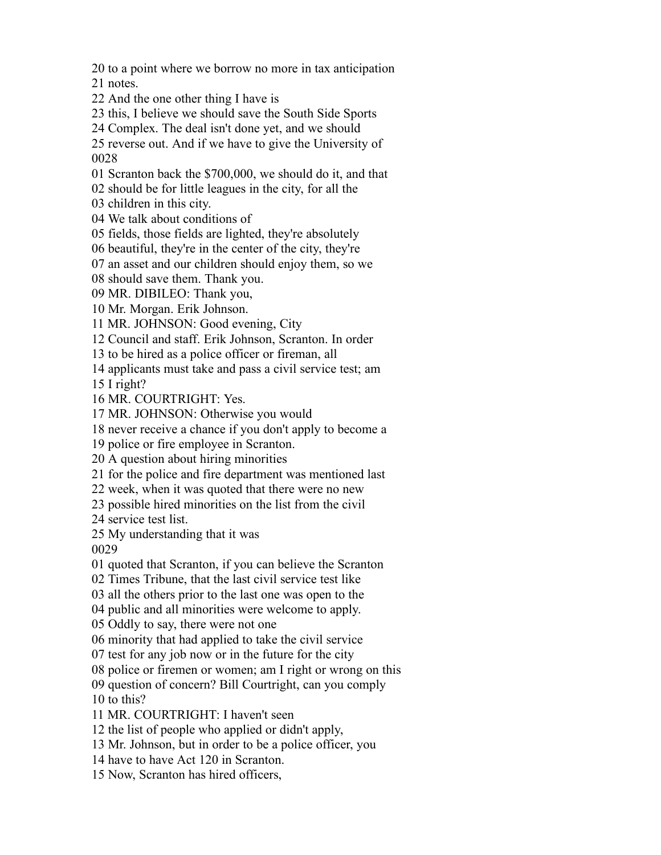to a point where we borrow no more in tax anticipation

notes.

- And the one other thing I have is
- this, I believe we should save the South Side Sports
- Complex. The deal isn't done yet, and we should

 reverse out. And if we have to give the University of 

Scranton back the \$700,000, we should do it, and that

should be for little leagues in the city, for all the

children in this city.

We talk about conditions of

fields, those fields are lighted, they're absolutely

beautiful, they're in the center of the city, they're

an asset and our children should enjoy them, so we

should save them. Thank you.

MR. DIBILEO: Thank you,

Mr. Morgan. Erik Johnson.

MR. JOHNSON: Good evening, City

Council and staff. Erik Johnson, Scranton. In order

to be hired as a police officer or fireman, all

applicants must take and pass a civil service test; am

I right?

MR. COURTRIGHT: Yes.

MR. JOHNSON: Otherwise you would

never receive a chance if you don't apply to become a

police or fire employee in Scranton.

A question about hiring minorities

for the police and fire department was mentioned last

week, when it was quoted that there were no new

possible hired minorities on the list from the civil

service test list.

My understanding that it was

quoted that Scranton, if you can believe the Scranton

Times Tribune, that the last civil service test like

all the others prior to the last one was open to the

public and all minorities were welcome to apply.

Oddly to say, there were not one

minority that had applied to take the civil service

test for any job now or in the future for the city

police or firemen or women; am I right or wrong on this

question of concern? Bill Courtright, can you comply

to this?

MR. COURTRIGHT: I haven't seen

the list of people who applied or didn't apply,

Mr. Johnson, but in order to be a police officer, you

have to have Act 120 in Scranton.

Now, Scranton has hired officers,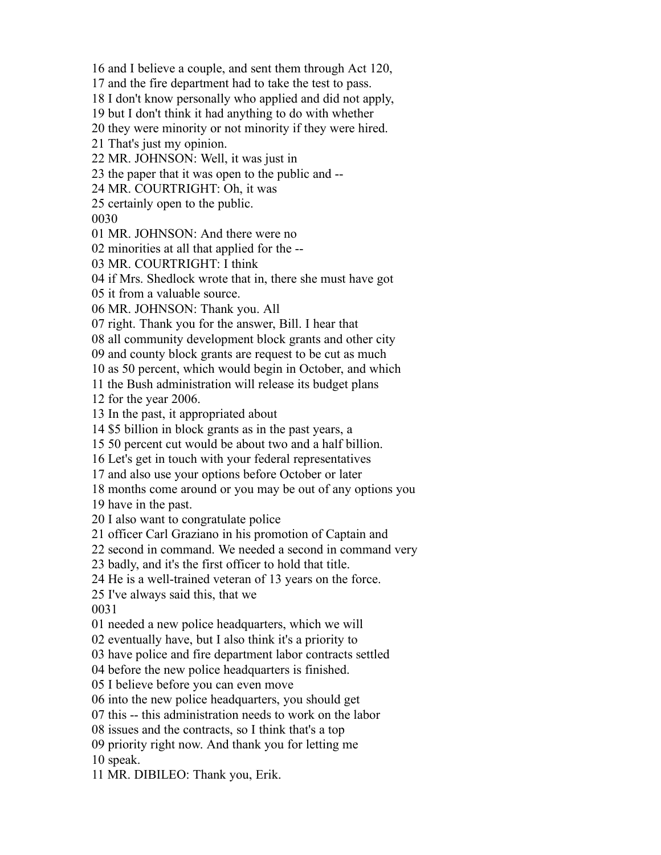and I believe a couple, and sent them through Act 120,

and the fire department had to take the test to pass.

I don't know personally who applied and did not apply,

but I don't think it had anything to do with whether

they were minority or not minority if they were hired.

That's just my opinion.

MR. JOHNSON: Well, it was just in

the paper that it was open to the public and --

MR. COURTRIGHT: Oh, it was

certainly open to the public.

MR. JOHNSON: And there were no

minorities at all that applied for the --

MR. COURTRIGHT: I think

if Mrs. Shedlock wrote that in, there she must have got

it from a valuable source.

MR. JOHNSON: Thank you. All

right. Thank you for the answer, Bill. I hear that

all community development block grants and other city

and county block grants are request to be cut as much

as 50 percent, which would begin in October, and which

the Bush administration will release its budget plans

for the year 2006.

In the past, it appropriated about

\$5 billion in block grants as in the past years, a

50 percent cut would be about two and a half billion.

Let's get in touch with your federal representatives

and also use your options before October or later

months come around or you may be out of any options you

have in the past.

I also want to congratulate police

officer Carl Graziano in his promotion of Captain and

second in command. We needed a second in command very

badly, and it's the first officer to hold that title.

He is a well-trained veteran of 13 years on the force.

I've always said this, that we

needed a new police headquarters, which we will

eventually have, but I also think it's a priority to

have police and fire department labor contracts settled

before the new police headquarters is finished.

I believe before you can even move

into the new police headquarters, you should get

this -- this administration needs to work on the labor

issues and the contracts, so I think that's a top

priority right now. And thank you for letting me

speak.

MR. DIBILEO: Thank you, Erik.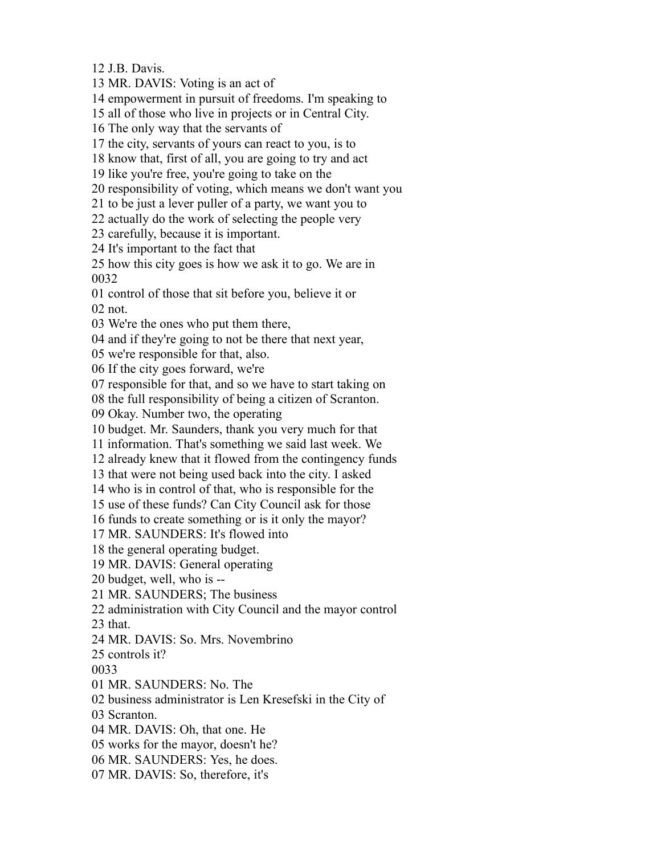J.B. Davis.

MR. DAVIS: Voting is an act of

empowerment in pursuit of freedoms. I'm speaking to

all of those who live in projects or in Central City.

The only way that the servants of

the city, servants of yours can react to you, is to

know that, first of all, you are going to try and act

like you're free, you're going to take on the

responsibility of voting, which means we don't want you

to be just a lever puller of a party, we want you to

actually do the work of selecting the people very

carefully, because it is important.

It's important to the fact that

 how this city goes is how we ask it to go. We are in 

control of those that sit before you, believe it or

not.

We're the ones who put them there,

and if they're going to not be there that next year,

we're responsible for that, also.

If the city goes forward, we're

responsible for that, and so we have to start taking on

the full responsibility of being a citizen of Scranton.

Okay. Number two, the operating

budget. Mr. Saunders, thank you very much for that

information. That's something we said last week. We

already knew that it flowed from the contingency funds

that were not being used back into the city. I asked

who is in control of that, who is responsible for the

use of these funds? Can City Council ask for those

funds to create something or is it only the mayor?

MR. SAUNDERS: It's flowed into

the general operating budget.

MR. DAVIS: General operating

budget, well, who is --

MR. SAUNDERS; The business

administration with City Council and the mayor control

that.

MR. DAVIS: So. Mrs. Novembrino

controls it?

MR. SAUNDERS: No. The

business administrator is Len Kresefski in the City of

Scranton.

MR. DAVIS: Oh, that one. He

works for the mayor, doesn't he?

MR. SAUNDERS: Yes, he does.

MR. DAVIS: So, therefore, it's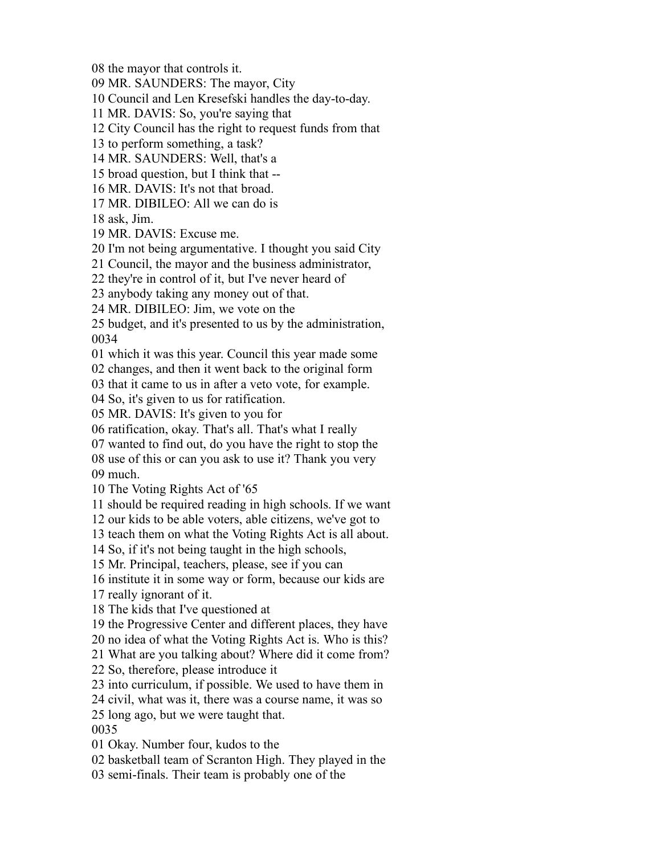the mayor that controls it.

MR. SAUNDERS: The mayor, City

Council and Len Kresefski handles the day-to-day.

MR. DAVIS: So, you're saying that

City Council has the right to request funds from that

to perform something, a task?

MR. SAUNDERS: Well, that's a

broad question, but I think that --

MR. DAVIS: It's not that broad.

MR. DIBILEO: All we can do is

ask, Jim.

MR. DAVIS: Excuse me.

I'm not being argumentative. I thought you said City

Council, the mayor and the business administrator,

they're in control of it, but I've never heard of

anybody taking any money out of that.

MR. DIBILEO: Jim, we vote on the

 budget, and it's presented to us by the administration, 

which it was this year. Council this year made some

changes, and then it went back to the original form

that it came to us in after a veto vote, for example.

So, it's given to us for ratification.

MR. DAVIS: It's given to you for

ratification, okay. That's all. That's what I really

wanted to find out, do you have the right to stop the

 use of this or can you ask to use it? Thank you very much.

The Voting Rights Act of '65

should be required reading in high schools. If we want

our kids to be able voters, able citizens, we've got to

teach them on what the Voting Rights Act is all about.

So, if it's not being taught in the high schools,

Mr. Principal, teachers, please, see if you can

institute it in some way or form, because our kids are

really ignorant of it.

The kids that I've questioned at

the Progressive Center and different places, they have

no idea of what the Voting Rights Act is. Who is this?

What are you talking about? Where did it come from?

So, therefore, please introduce it

into curriculum, if possible. We used to have them in

civil, what was it, there was a course name, it was so

long ago, but we were taught that.

Okay. Number four, kudos to the

basketball team of Scranton High. They played in the

semi-finals. Their team is probably one of the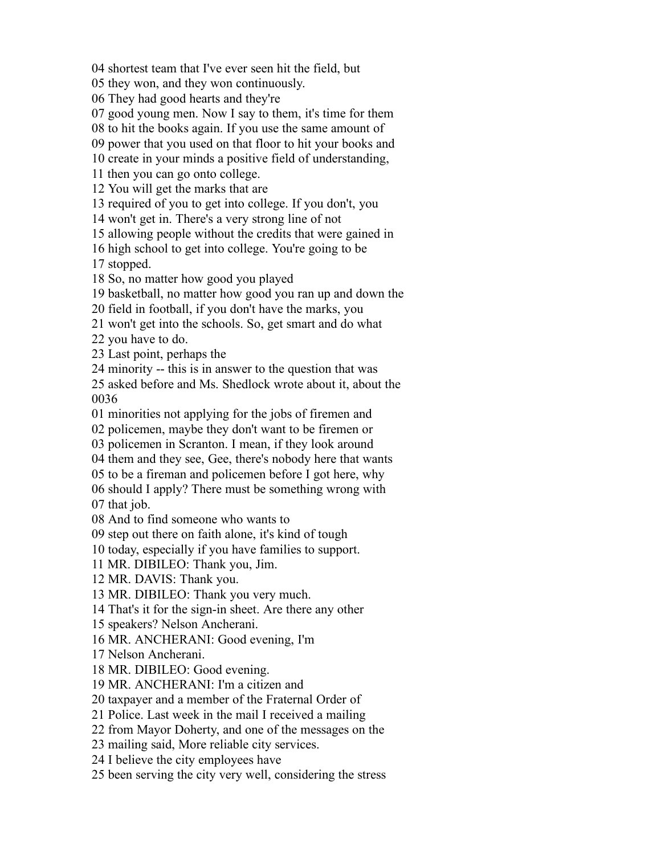shortest team that I've ever seen hit the field, but

they won, and they won continuously.

They had good hearts and they're

good young men. Now I say to them, it's time for them

to hit the books again. If you use the same amount of

power that you used on that floor to hit your books and

create in your minds a positive field of understanding,

then you can go onto college.

You will get the marks that are

required of you to get into college. If you don't, you

won't get in. There's a very strong line of not

allowing people without the credits that were gained in

high school to get into college. You're going to be

stopped.

So, no matter how good you played

basketball, no matter how good you ran up and down the

field in football, if you don't have the marks, you

won't get into the schools. So, get smart and do what

you have to do.

Last point, perhaps the

minority -- this is in answer to the question that was

 asked before and Ms. Shedlock wrote about it, about the 

minorities not applying for the jobs of firemen and

policemen, maybe they don't want to be firemen or

policemen in Scranton. I mean, if they look around

them and they see, Gee, there's nobody here that wants

to be a fireman and policemen before I got here, why

should I apply? There must be something wrong with

that job.

And to find someone who wants to

step out there on faith alone, it's kind of tough

today, especially if you have families to support.

MR. DIBILEO: Thank you, Jim.

MR. DAVIS: Thank you.

MR. DIBILEO: Thank you very much.

That's it for the sign-in sheet. Are there any other

speakers? Nelson Ancherani.

MR. ANCHERANI: Good evening, I'm

Nelson Ancherani.

MR. DIBILEO: Good evening.

MR. ANCHERANI: I'm a citizen and

taxpayer and a member of the Fraternal Order of

Police. Last week in the mail I received a mailing

from Mayor Doherty, and one of the messages on the

mailing said, More reliable city services.

I believe the city employees have

been serving the city very well, considering the stress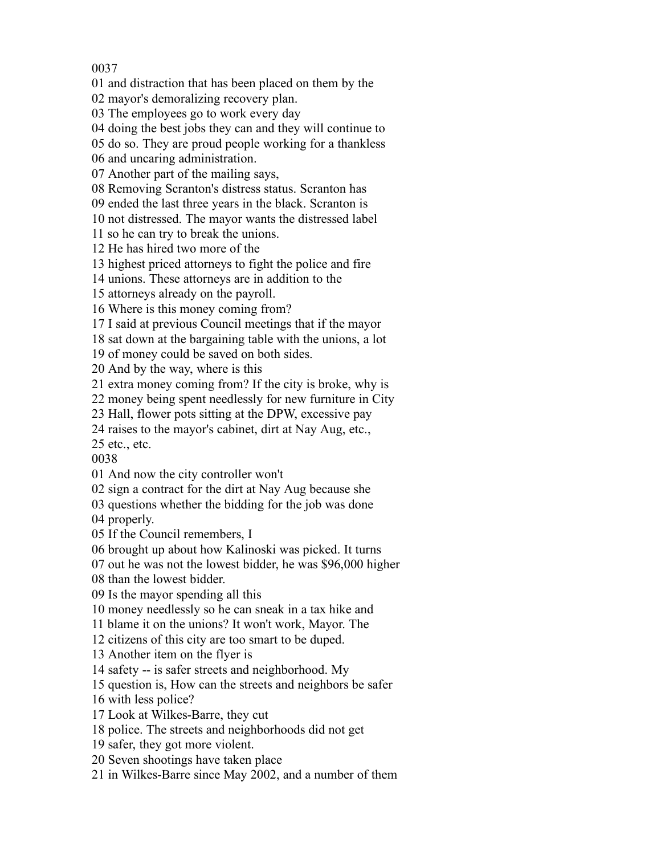and distraction that has been placed on them by the

mayor's demoralizing recovery plan.

The employees go to work every day

doing the best jobs they can and they will continue to

do so. They are proud people working for a thankless

and uncaring administration.

Another part of the mailing says,

Removing Scranton's distress status. Scranton has

ended the last three years in the black. Scranton is

not distressed. The mayor wants the distressed label

so he can try to break the unions.

He has hired two more of the

highest priced attorneys to fight the police and fire

unions. These attorneys are in addition to the

attorneys already on the payroll.

Where is this money coming from?

I said at previous Council meetings that if the mayor

sat down at the bargaining table with the unions, a lot

of money could be saved on both sides.

And by the way, where is this

extra money coming from? If the city is broke, why is

money being spent needlessly for new furniture in City

Hall, flower pots sitting at the DPW, excessive pay

raises to the mayor's cabinet, dirt at Nay Aug, etc.,

etc., etc.

And now the city controller won't

sign a contract for the dirt at Nay Aug because she

questions whether the bidding for the job was done

properly.

If the Council remembers, I

brought up about how Kalinoski was picked. It turns

out he was not the lowest bidder, he was \$96,000 higher

than the lowest bidder.

Is the mayor spending all this

money needlessly so he can sneak in a tax hike and

blame it on the unions? It won't work, Mayor. The

citizens of this city are too smart to be duped.

Another item on the flyer is

safety -- is safer streets and neighborhood. My

question is, How can the streets and neighbors be safer

with less police?

Look at Wilkes-Barre, they cut

police. The streets and neighborhoods did not get

safer, they got more violent.

Seven shootings have taken place

in Wilkes-Barre since May 2002, and a number of them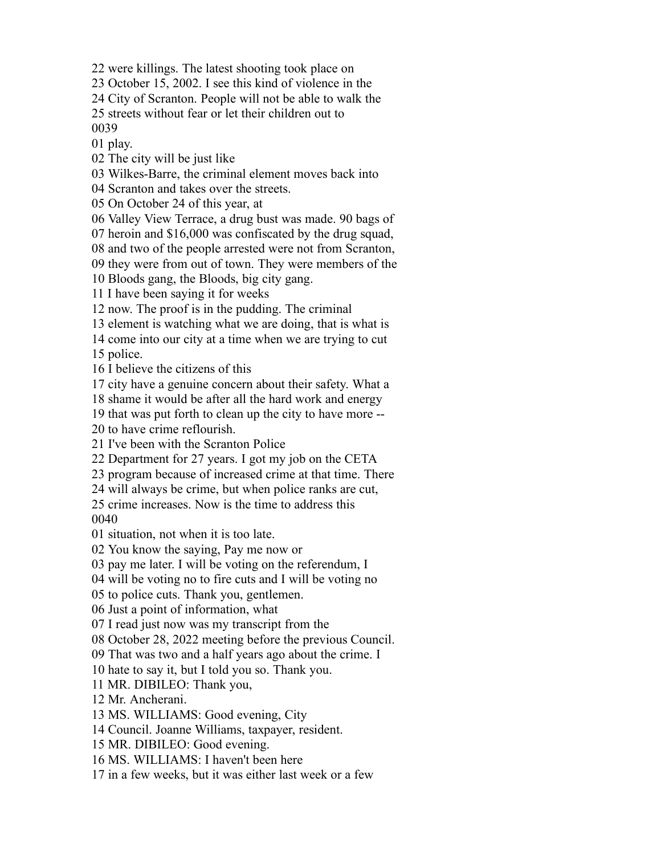were killings. The latest shooting took place on

October 15, 2002. I see this kind of violence in the

City of Scranton. People will not be able to walk the

streets without fear or let their children out to

play.

The city will be just like

Wilkes-Barre, the criminal element moves back into

Scranton and takes over the streets.

On October 24 of this year, at

Valley View Terrace, a drug bust was made. 90 bags of

heroin and \$16,000 was confiscated by the drug squad,

and two of the people arrested were not from Scranton,

they were from out of town. They were members of the

Bloods gang, the Bloods, big city gang.

I have been saying it for weeks

now. The proof is in the pudding. The criminal

element is watching what we are doing, that is what is

come into our city at a time when we are trying to cut

police.

I believe the citizens of this

city have a genuine concern about their safety. What a

shame it would be after all the hard work and energy

that was put forth to clean up the city to have more --

to have crime reflourish.

I've been with the Scranton Police

Department for 27 years. I got my job on the CETA

program because of increased crime at that time. There

will always be crime, but when police ranks are cut,

 crime increases. Now is the time to address this 

situation, not when it is too late.

You know the saying, Pay me now or

pay me later. I will be voting on the referendum, I

will be voting no to fire cuts and I will be voting no

to police cuts. Thank you, gentlemen.

Just a point of information, what

I read just now was my transcript from the

October 28, 2022 meeting before the previous Council.

That was two and a half years ago about the crime. I

hate to say it, but I told you so. Thank you.

MR. DIBILEO: Thank you,

Mr. Ancherani.

MS. WILLIAMS: Good evening, City

Council. Joanne Williams, taxpayer, resident.

MR. DIBILEO: Good evening.

MS. WILLIAMS: I haven't been here

in a few weeks, but it was either last week or a few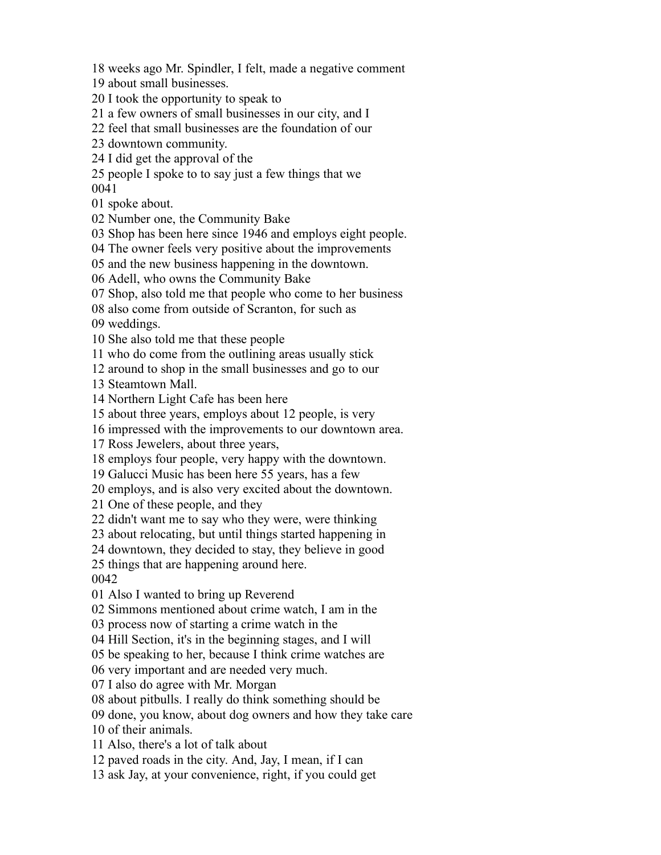weeks ago Mr. Spindler, I felt, made a negative comment

about small businesses.

I took the opportunity to speak to

a few owners of small businesses in our city, and I

feel that small businesses are the foundation of our

downtown community.

I did get the approval of the

 people I spoke to to say just a few things that we 

spoke about.

Number one, the Community Bake

Shop has been here since 1946 and employs eight people.

The owner feels very positive about the improvements

and the new business happening in the downtown.

Adell, who owns the Community Bake

Shop, also told me that people who come to her business

also come from outside of Scranton, for such as

weddings.

She also told me that these people

who do come from the outlining areas usually stick

around to shop in the small businesses and go to our

Steamtown Mall.

Northern Light Cafe has been here

about three years, employs about 12 people, is very

impressed with the improvements to our downtown area.

Ross Jewelers, about three years,

employs four people, very happy with the downtown.

Galucci Music has been here 55 years, has a few

employs, and is also very excited about the downtown.

One of these people, and they

didn't want me to say who they were, were thinking

about relocating, but until things started happening in

downtown, they decided to stay, they believe in good

things that are happening around here.

Also I wanted to bring up Reverend

Simmons mentioned about crime watch, I am in the

process now of starting a crime watch in the

Hill Section, it's in the beginning stages, and I will

be speaking to her, because I think crime watches are

very important and are needed very much.

I also do agree with Mr. Morgan

about pitbulls. I really do think something should be

done, you know, about dog owners and how they take care

of their animals.

Also, there's a lot of talk about

paved roads in the city. And, Jay, I mean, if I can

ask Jay, at your convenience, right, if you could get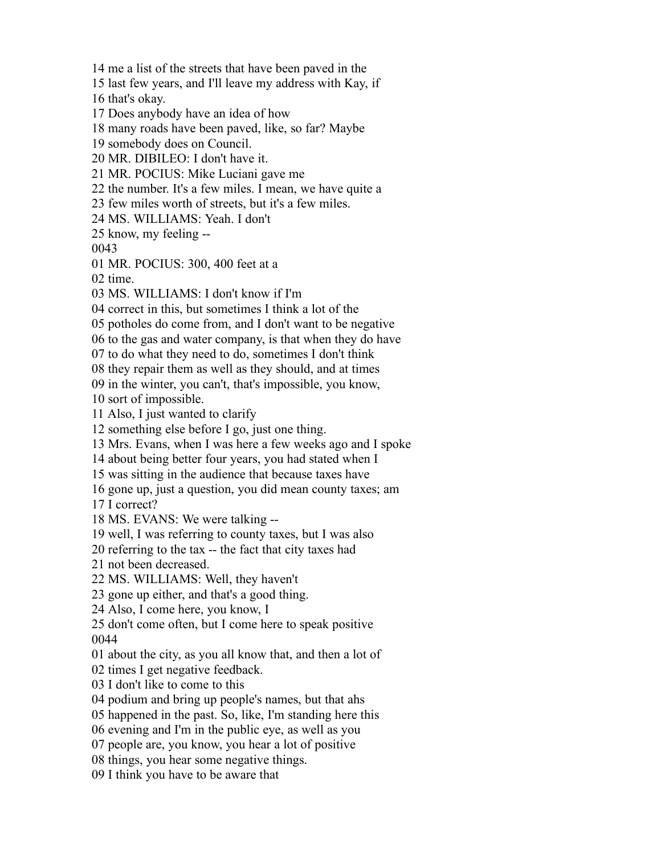me a list of the streets that have been paved in the

last few years, and I'll leave my address with Kay, if

that's okay.

Does anybody have an idea of how

many roads have been paved, like, so far? Maybe

somebody does on Council.

MR. DIBILEO: I don't have it.

MR. POCIUS: Mike Luciani gave me

the number. It's a few miles. I mean, we have quite a

few miles worth of streets, but it's a few miles.

MS. WILLIAMS: Yeah. I don't

know, my feeling --

MR. POCIUS: 300, 400 feet at a

time.

MS. WILLIAMS: I don't know if I'm

correct in this, but sometimes I think a lot of the

potholes do come from, and I don't want to be negative

to the gas and water company, is that when they do have

to do what they need to do, sometimes I don't think

they repair them as well as they should, and at times

in the winter, you can't, that's impossible, you know,

sort of impossible.

Also, I just wanted to clarify

something else before I go, just one thing.

Mrs. Evans, when I was here a few weeks ago and I spoke

about being better four years, you had stated when I

was sitting in the audience that because taxes have

gone up, just a question, you did mean county taxes; am

I correct?

MS. EVANS: We were talking --

well, I was referring to county taxes, but I was also

referring to the tax -- the fact that city taxes had

not been decreased.

MS. WILLIAMS: Well, they haven't

gone up either, and that's a good thing.

Also, I come here, you know, I

 don't come often, but I come here to speak positive 

about the city, as you all know that, and then a lot of

times I get negative feedback.

I don't like to come to this

podium and bring up people's names, but that ahs

happened in the past. So, like, I'm standing here this

evening and I'm in the public eye, as well as you

people are, you know, you hear a lot of positive

things, you hear some negative things.

I think you have to be aware that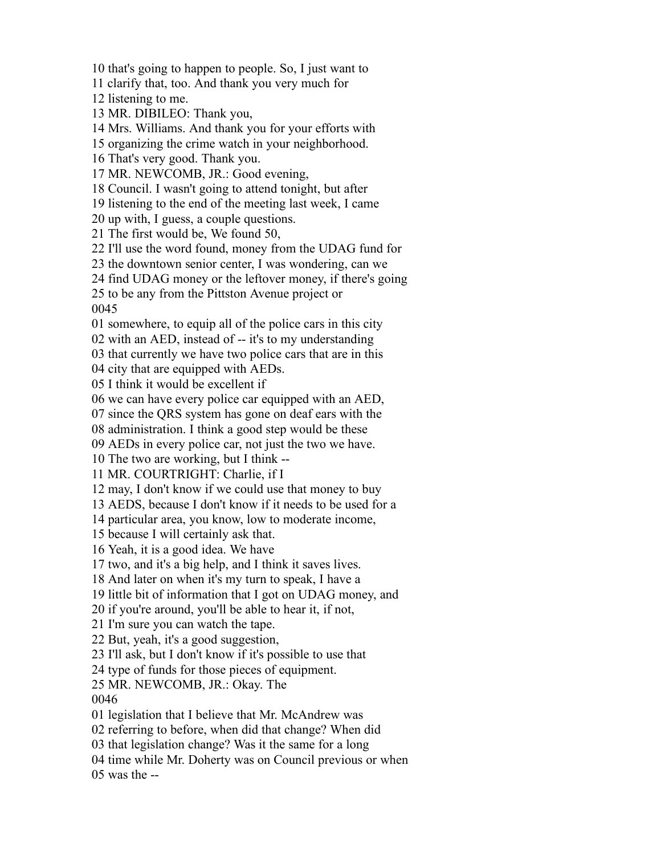that's going to happen to people. So, I just want to

clarify that, too. And thank you very much for

listening to me.

MR. DIBILEO: Thank you,

Mrs. Williams. And thank you for your efforts with

organizing the crime watch in your neighborhood.

That's very good. Thank you.

MR. NEWCOMB, JR.: Good evening,

Council. I wasn't going to attend tonight, but after

listening to the end of the meeting last week, I came

up with, I guess, a couple questions.

The first would be, We found 50,

I'll use the word found, money from the UDAG fund for

the downtown senior center, I was wondering, can we

find UDAG money or the leftover money, if there's going

to be any from the Pittston Avenue project or

somewhere, to equip all of the police cars in this city

with an AED, instead of -- it's to my understanding

that currently we have two police cars that are in this

city that are equipped with AEDs.

I think it would be excellent if

we can have every police car equipped with an AED,

since the QRS system has gone on deaf ears with the

administration. I think a good step would be these

AEDs in every police car, not just the two we have.

The two are working, but I think --

MR. COURTRIGHT: Charlie, if I

may, I don't know if we could use that money to buy

AEDS, because I don't know if it needs to be used for a

particular area, you know, low to moderate income,

because I will certainly ask that.

Yeah, it is a good idea. We have

two, and it's a big help, and I think it saves lives.

And later on when it's my turn to speak, I have a

little bit of information that I got on UDAG money, and

if you're around, you'll be able to hear it, if not,

I'm sure you can watch the tape.

But, yeah, it's a good suggestion,

I'll ask, but I don't know if it's possible to use that

type of funds for those pieces of equipment.

MR. NEWCOMB, JR.: Okay. The

legislation that I believe that Mr. McAndrew was

referring to before, when did that change? When did

that legislation change? Was it the same for a long

time while Mr. Doherty was on Council previous or when

was the  $-$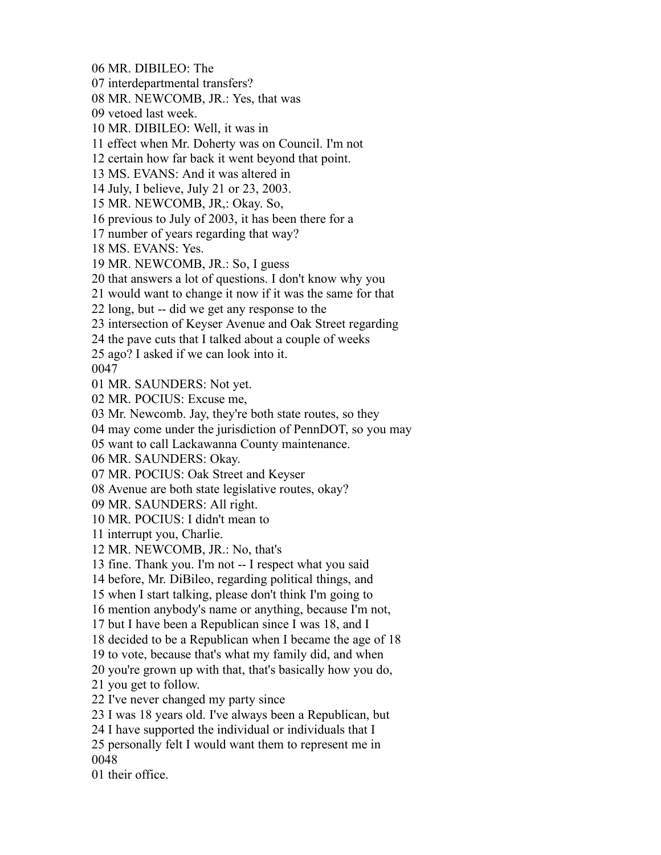MR. DIBILEO: The interdepartmental transfers? MR. NEWCOMB, JR.: Yes, that was vetoed last week. MR. DIBILEO: Well, it was in effect when Mr. Doherty was on Council. I'm not certain how far back it went beyond that point. MS. EVANS: And it was altered in July, I believe, July 21 or 23, 2003. MR. NEWCOMB, JR,: Okay. So, previous to July of 2003, it has been there for a number of years regarding that way? MS. EVANS: Yes. MR. NEWCOMB, JR.: So, I guess that answers a lot of questions. I don't know why you would want to change it now if it was the same for that long, but -- did we get any response to the intersection of Keyser Avenue and Oak Street regarding the pave cuts that I talked about a couple of weeks ago? I asked if we can look into it. MR. SAUNDERS: Not yet. MR. POCIUS: Excuse me, Mr. Newcomb. Jay, they're both state routes, so they may come under the jurisdiction of PennDOT, so you may want to call Lackawanna County maintenance. MR. SAUNDERS: Okay. MR. POCIUS: Oak Street and Keyser Avenue are both state legislative routes, okay? MR. SAUNDERS: All right. MR. POCIUS: I didn't mean to interrupt you, Charlie. MR. NEWCOMB, JR.: No, that's fine. Thank you. I'm not -- I respect what you said before, Mr. DiBileo, regarding political things, and when I start talking, please don't think I'm going to mention anybody's name or anything, because I'm not, but I have been a Republican since I was 18, and I decided to be a Republican when I became the age of 18 to vote, because that's what my family did, and when you're grown up with that, that's basically how you do, you get to follow. I've never changed my party since I was 18 years old. I've always been a Republican, but I have supported the individual or individuals that I personally felt I would want them to represent me in their office.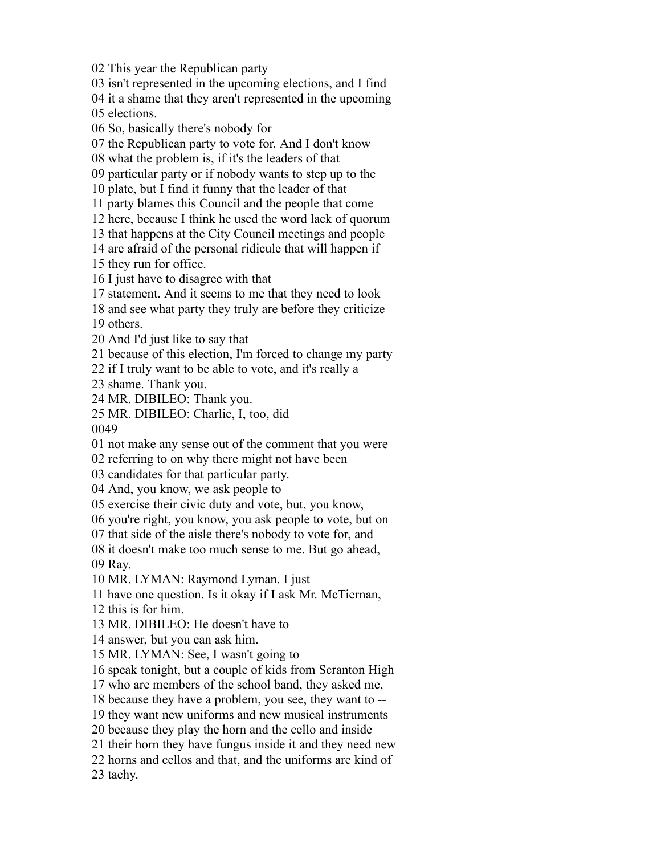This year the Republican party

isn't represented in the upcoming elections, and I find

it a shame that they aren't represented in the upcoming

elections.

So, basically there's nobody for

the Republican party to vote for. And I don't know

what the problem is, if it's the leaders of that

particular party or if nobody wants to step up to the

plate, but I find it funny that the leader of that

party blames this Council and the people that come

here, because I think he used the word lack of quorum

that happens at the City Council meetings and people

are afraid of the personal ridicule that will happen if

they run for office.

I just have to disagree with that

statement. And it seems to me that they need to look

and see what party they truly are before they criticize

others.

And I'd just like to say that

because of this election, I'm forced to change my party

if I truly want to be able to vote, and it's really a

shame. Thank you.

MR. DIBILEO: Thank you.

MR. DIBILEO: Charlie, I, too, did

not make any sense out of the comment that you were

referring to on why there might not have been

candidates for that particular party.

And, you know, we ask people to

exercise their civic duty and vote, but, you know,

you're right, you know, you ask people to vote, but on

that side of the aisle there's nobody to vote for, and

 it doesn't make too much sense to me. But go ahead, Ray.

MR. LYMAN: Raymond Lyman. I just

have one question. Is it okay if I ask Mr. McTiernan,

this is for him.

MR. DIBILEO: He doesn't have to

answer, but you can ask him.

MR. LYMAN: See, I wasn't going to

speak tonight, but a couple of kids from Scranton High

who are members of the school band, they asked me,

because they have a problem, you see, they want to --

they want new uniforms and new musical instruments

because they play the horn and the cello and inside

their horn they have fungus inside it and they need new

horns and cellos and that, and the uniforms are kind of

tachy.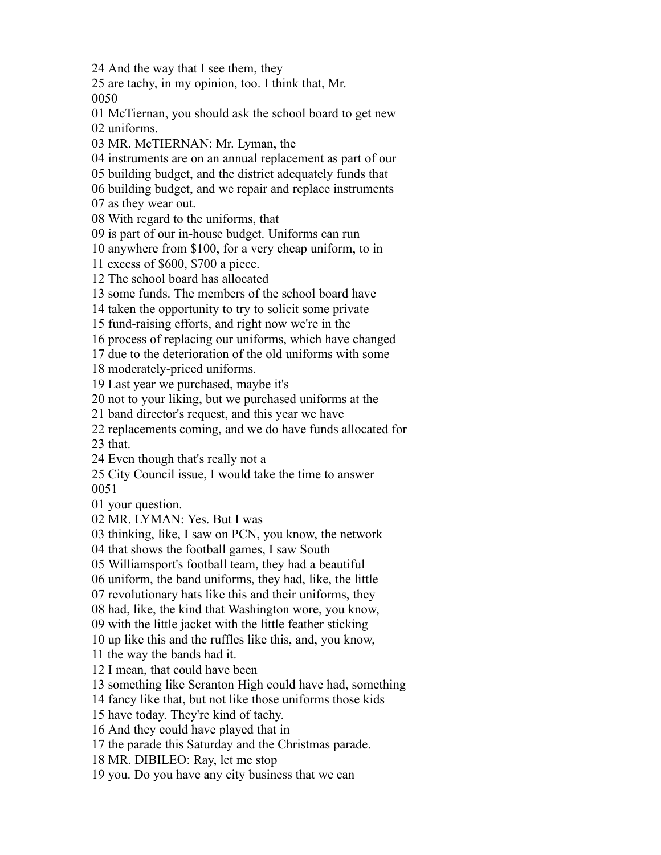And the way that I see them, they

 are tachy, in my opinion, too. I think that, Mr. 

 McTiernan, you should ask the school board to get new uniforms.

MR. McTIERNAN: Mr. Lyman, the

instruments are on an annual replacement as part of our

building budget, and the district adequately funds that

building budget, and we repair and replace instruments

as they wear out.

With regard to the uniforms, that

is part of our in-house budget. Uniforms can run

anywhere from \$100, for a very cheap uniform, to in

excess of \$600, \$700 a piece.

The school board has allocated

some funds. The members of the school board have

taken the opportunity to try to solicit some private

fund-raising efforts, and right now we're in the

process of replacing our uniforms, which have changed

due to the deterioration of the old uniforms with some

moderately-priced uniforms.

Last year we purchased, maybe it's

not to your liking, but we purchased uniforms at the

band director's request, and this year we have

replacements coming, and we do have funds allocated for

that.

Even though that's really not a

 City Council issue, I would take the time to answer 

your question.

MR. LYMAN: Yes. But I was

thinking, like, I saw on PCN, you know, the network

that shows the football games, I saw South

Williamsport's football team, they had a beautiful

uniform, the band uniforms, they had, like, the little

revolutionary hats like this and their uniforms, they

had, like, the kind that Washington wore, you know,

with the little jacket with the little feather sticking

up like this and the ruffles like this, and, you know,

the way the bands had it.

I mean, that could have been

something like Scranton High could have had, something

fancy like that, but not like those uniforms those kids

have today. They're kind of tachy.

And they could have played that in

the parade this Saturday and the Christmas parade.

MR. DIBILEO: Ray, let me stop

you. Do you have any city business that we can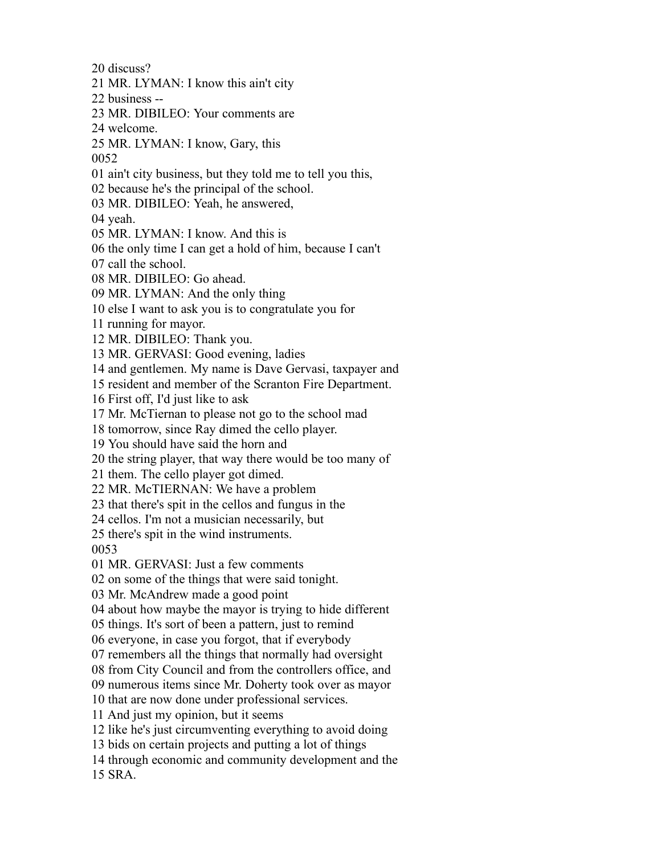discuss?

MR. LYMAN: I know this ain't city

business --

MR. DIBILEO: Your comments are

welcome.

MR. LYMAN: I know, Gary, this

ain't city business, but they told me to tell you this,

because he's the principal of the school.

MR. DIBILEO: Yeah, he answered,

yeah.

MR. LYMAN: I know. And this is

the only time I can get a hold of him, because I can't

call the school.

MR. DIBILEO: Go ahead.

MR. LYMAN: And the only thing

else I want to ask you is to congratulate you for

running for mayor.

MR. DIBILEO: Thank you.

MR. GERVASI: Good evening, ladies

and gentlemen. My name is Dave Gervasi, taxpayer and

resident and member of the Scranton Fire Department.

First off, I'd just like to ask

Mr. McTiernan to please not go to the school mad

tomorrow, since Ray dimed the cello player.

You should have said the horn and

the string player, that way there would be too many of

them. The cello player got dimed.

MR. McTIERNAN: We have a problem

that there's spit in the cellos and fungus in the

cellos. I'm not a musician necessarily, but

there's spit in the wind instruments.

MR. GERVASI: Just a few comments

on some of the things that were said tonight.

Mr. McAndrew made a good point

about how maybe the mayor is trying to hide different

things. It's sort of been a pattern, just to remind

everyone, in case you forgot, that if everybody

remembers all the things that normally had oversight

from City Council and from the controllers office, and

numerous items since Mr. Doherty took over as mayor

that are now done under professional services.

And just my opinion, but it seems

like he's just circumventing everything to avoid doing

bids on certain projects and putting a lot of things

through economic and community development and the

SRA.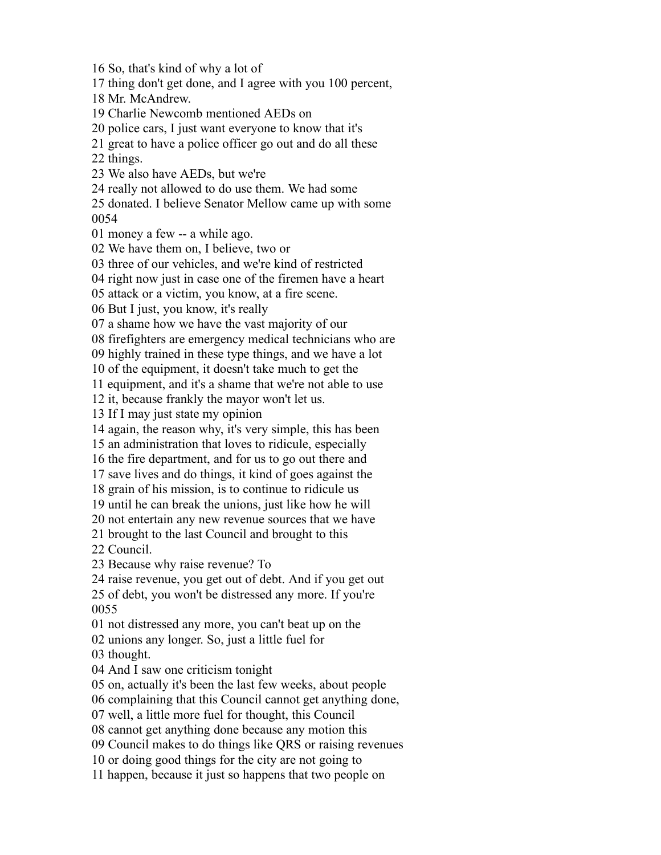So, that's kind of why a lot of thing don't get done, and I agree with you 100 percent, Mr. McAndrew. Charlie Newcomb mentioned AEDs on police cars, I just want everyone to know that it's great to have a police officer go out and do all these things. We also have AEDs, but we're really not allowed to do use them. We had some donated. I believe Senator Mellow came up with some money a few -- a while ago. We have them on, I believe, two or three of our vehicles, and we're kind of restricted right now just in case one of the firemen have a heart attack or a victim, you know, at a fire scene. But I just, you know, it's really a shame how we have the vast majority of our firefighters are emergency medical technicians who are highly trained in these type things, and we have a lot of the equipment, it doesn't take much to get the equipment, and it's a shame that we're not able to use it, because frankly the mayor won't let us. If I may just state my opinion again, the reason why, it's very simple, this has been an administration that loves to ridicule, especially the fire department, and for us to go out there and save lives and do things, it kind of goes against the grain of his mission, is to continue to ridicule us until he can break the unions, just like how he will not entertain any new revenue sources that we have brought to the last Council and brought to this Council. Because why raise revenue? To raise revenue, you get out of debt. And if you get out of debt, you won't be distressed any more. If you're not distressed any more, you can't beat up on the unions any longer. So, just a little fuel for thought. And I saw one criticism tonight on, actually it's been the last few weeks, about people complaining that this Council cannot get anything done, well, a little more fuel for thought, this Council cannot get anything done because any motion this Council makes to do things like QRS or raising revenues or doing good things for the city are not going to happen, because it just so happens that two people on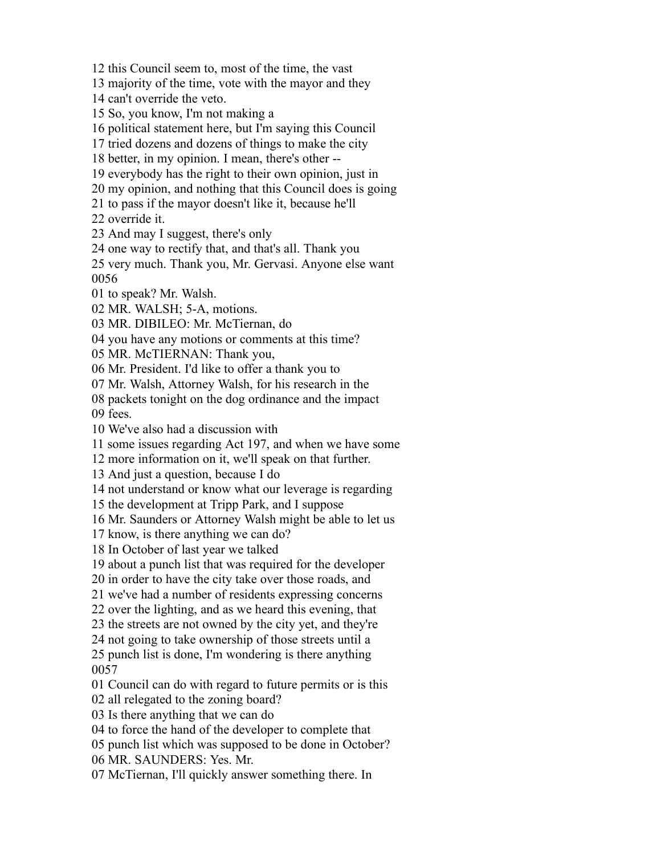majority of the time, vote with the mayor and they can't override the veto. So, you know, I'm not making a political statement here, but I'm saying this Council tried dozens and dozens of things to make the city better, in my opinion. I mean, there's other -- everybody has the right to their own opinion, just in my opinion, and nothing that this Council does is going to pass if the mayor doesn't like it, because he'll override it. And may I suggest, there's only one way to rectify that, and that's all. Thank you very much. Thank you, Mr. Gervasi. Anyone else want to speak? Mr. Walsh. MR. WALSH; 5-A, motions. MR. DIBILEO: Mr. McTiernan, do you have any motions or comments at this time? MR. McTIERNAN: Thank you, Mr. President. I'd like to offer a thank you to Mr. Walsh, Attorney Walsh, for his research in the packets tonight on the dog ordinance and the impact fees. We've also had a discussion with some issues regarding Act 197, and when we have some more information on it, we'll speak on that further. And just a question, because I do not understand or know what our leverage is regarding the development at Tripp Park, and I suppose Mr. Saunders or Attorney Walsh might be able to let us know, is there anything we can do? In October of last year we talked about a punch list that was required for the developer in order to have the city take over those roads, and we've had a number of residents expressing concerns over the lighting, and as we heard this evening, that the streets are not owned by the city yet, and they're not going to take ownership of those streets until a punch list is done, I'm wondering is there anything Council can do with regard to future permits or is this all relegated to the zoning board? Is there anything that we can do to force the hand of the developer to complete that punch list which was supposed to be done in October? MR. SAUNDERS: Yes. Mr. McTiernan, I'll quickly answer something there. In

this Council seem to, most of the time, the vast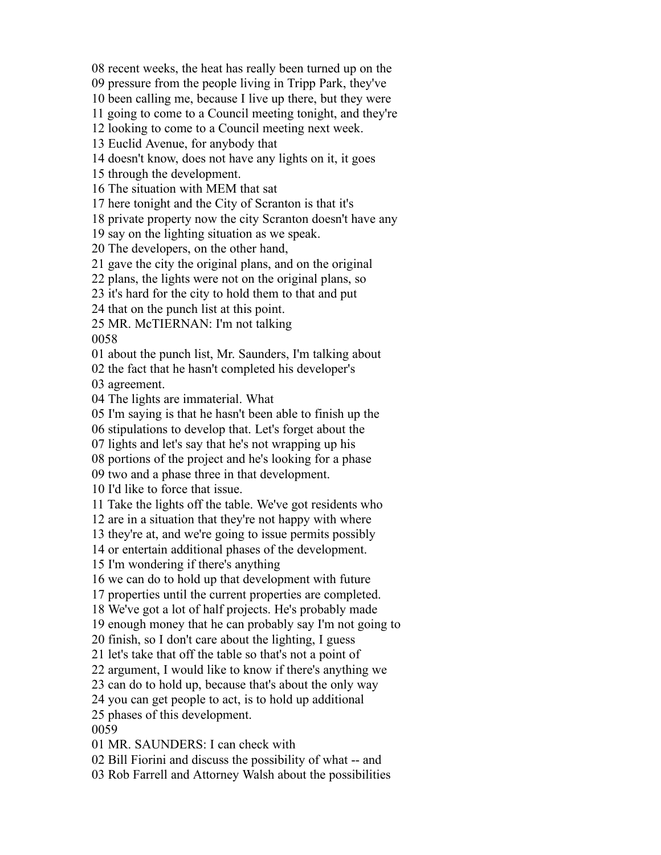recent weeks, the heat has really been turned up on the

pressure from the people living in Tripp Park, they've

been calling me, because I live up there, but they were

going to come to a Council meeting tonight, and they're

looking to come to a Council meeting next week.

Euclid Avenue, for anybody that

doesn't know, does not have any lights on it, it goes

through the development.

The situation with MEM that sat

here tonight and the City of Scranton is that it's

private property now the city Scranton doesn't have any

say on the lighting situation as we speak.

The developers, on the other hand,

gave the city the original plans, and on the original

plans, the lights were not on the original plans, so

it's hard for the city to hold them to that and put

that on the punch list at this point.

MR. McTIERNAN: I'm not talking

about the punch list, Mr. Saunders, I'm talking about

the fact that he hasn't completed his developer's

agreement.

The lights are immaterial. What

I'm saying is that he hasn't been able to finish up the

stipulations to develop that. Let's forget about the

lights and let's say that he's not wrapping up his

portions of the project and he's looking for a phase

two and a phase three in that development.

I'd like to force that issue.

Take the lights off the table. We've got residents who

are in a situation that they're not happy with where

they're at, and we're going to issue permits possibly

or entertain additional phases of the development.

I'm wondering if there's anything

we can do to hold up that development with future

properties until the current properties are completed.

We've got a lot of half projects. He's probably made

enough money that he can probably say I'm not going to

finish, so I don't care about the lighting, I guess

let's take that off the table so that's not a point of

argument, I would like to know if there's anything we

can do to hold up, because that's about the only way

you can get people to act, is to hold up additional

phases of this development.

MR. SAUNDERS: I can check with

Bill Fiorini and discuss the possibility of what -- and

Rob Farrell and Attorney Walsh about the possibilities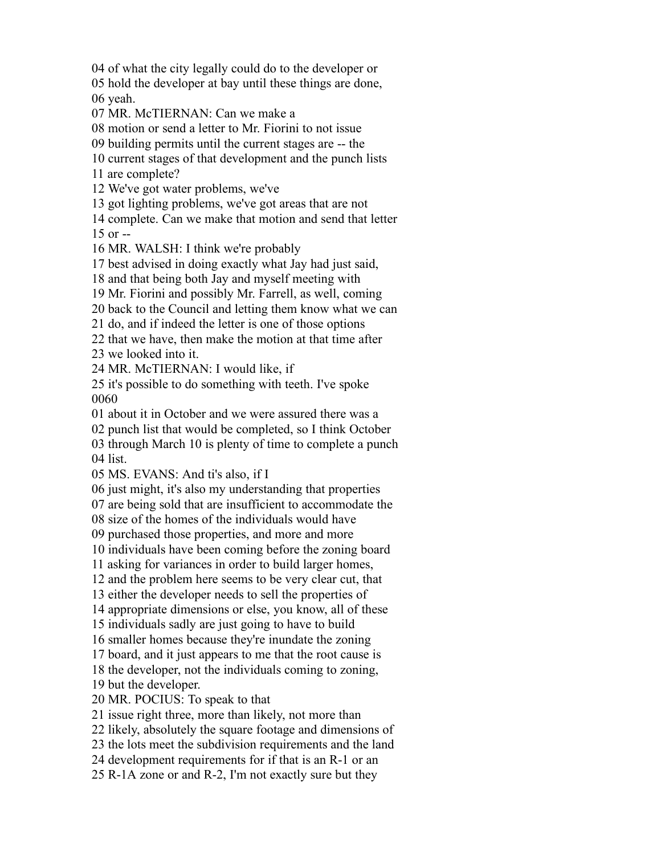of what the city legally could do to the developer or

 hold the developer at bay until these things are done, yeah.

MR. McTIERNAN: Can we make a

motion or send a letter to Mr. Fiorini to not issue

building permits until the current stages are -- the

current stages of that development and the punch lists

are complete?

We've got water problems, we've

got lighting problems, we've got areas that are not

 complete. Can we make that motion and send that letter or  $-$ 

MR. WALSH: I think we're probably

best advised in doing exactly what Jay had just said,

and that being both Jay and myself meeting with

Mr. Fiorini and possibly Mr. Farrell, as well, coming

back to the Council and letting them know what we can

do, and if indeed the letter is one of those options

 that we have, then make the motion at that time after we looked into it.

MR. McTIERNAN: I would like, if

 it's possible to do something with teeth. I've spoke 

about it in October and we were assured there was a

punch list that would be completed, so I think October

 through March 10 is plenty of time to complete a punch list.

MS. EVANS: And ti's also, if I

just might, it's also my understanding that properties

are being sold that are insufficient to accommodate the

size of the homes of the individuals would have

purchased those properties, and more and more

individuals have been coming before the zoning board

asking for variances in order to build larger homes,

and the problem here seems to be very clear cut, that

either the developer needs to sell the properties of

appropriate dimensions or else, you know, all of these

individuals sadly are just going to have to build

smaller homes because they're inundate the zoning

board, and it just appears to me that the root cause is

the developer, not the individuals coming to zoning,

but the developer.

MR. POCIUS: To speak to that

issue right three, more than likely, not more than

likely, absolutely the square footage and dimensions of

the lots meet the subdivision requirements and the land

development requirements for if that is an R-1 or an

R-1A zone or and R-2, I'm not exactly sure but they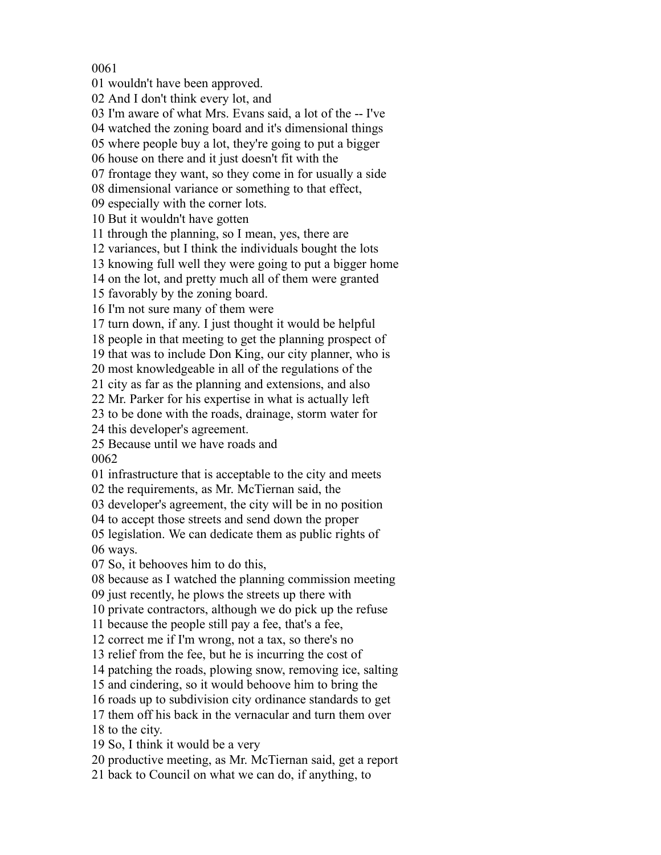wouldn't have been approved.

And I don't think every lot, and

I'm aware of what Mrs. Evans said, a lot of the -- I've

watched the zoning board and it's dimensional things

where people buy a lot, they're going to put a bigger

house on there and it just doesn't fit with the

frontage they want, so they come in for usually a side

dimensional variance or something to that effect,

especially with the corner lots.

But it wouldn't have gotten

through the planning, so I mean, yes, there are

variances, but I think the individuals bought the lots

knowing full well they were going to put a bigger home

on the lot, and pretty much all of them were granted

favorably by the zoning board.

I'm not sure many of them were

turn down, if any. I just thought it would be helpful

people in that meeting to get the planning prospect of

that was to include Don King, our city planner, who is

most knowledgeable in all of the regulations of the

city as far as the planning and extensions, and also

Mr. Parker for his expertise in what is actually left

to be done with the roads, drainage, storm water for

this developer's agreement.

 Because until we have roads and 

infrastructure that is acceptable to the city and meets

the requirements, as Mr. McTiernan said, the

developer's agreement, the city will be in no position

to accept those streets and send down the proper

 legislation. We can dedicate them as public rights of ways.

So, it behooves him to do this,

because as I watched the planning commission meeting

just recently, he plows the streets up there with

private contractors, although we do pick up the refuse

because the people still pay a fee, that's a fee,

correct me if I'm wrong, not a tax, so there's no

relief from the fee, but he is incurring the cost of

patching the roads, plowing snow, removing ice, salting

and cindering, so it would behoove him to bring the

roads up to subdivision city ordinance standards to get

 them off his back in the vernacular and turn them over to the city.

So, I think it would be a very

productive meeting, as Mr. McTiernan said, get a report

back to Council on what we can do, if anything, to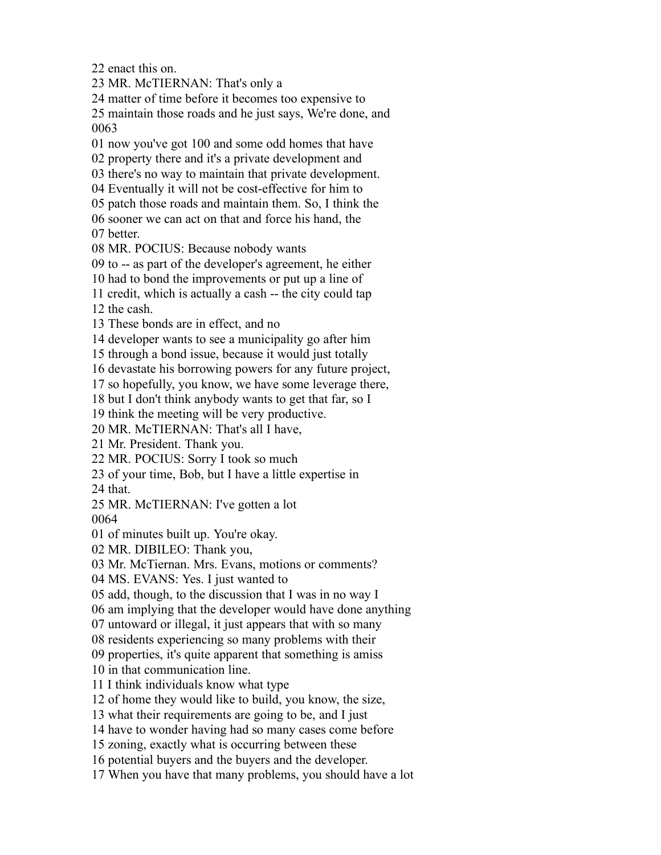enact this on.

MR. McTIERNAN: That's only a

matter of time before it becomes too expensive to

 maintain those roads and he just says, We're done, and 

now you've got 100 and some odd homes that have

property there and it's a private development and

there's no way to maintain that private development.

Eventually it will not be cost-effective for him to

patch those roads and maintain them. So, I think the

 sooner we can act on that and force his hand, the better.

MR. POCIUS: Because nobody wants

to -- as part of the developer's agreement, he either

had to bond the improvements or put up a line of

credit, which is actually a cash -- the city could tap

the cash.

These bonds are in effect, and no

developer wants to see a municipality go after him

through a bond issue, because it would just totally

devastate his borrowing powers for any future project,

so hopefully, you know, we have some leverage there,

but I don't think anybody wants to get that far, so I

think the meeting will be very productive.

MR. McTIERNAN: That's all I have,

Mr. President. Thank you.

MR. POCIUS: Sorry I took so much

of your time, Bob, but I have a little expertise in

that.

MR. McTIERNAN: I've gotten a lot

of minutes built up. You're okay.

MR. DIBILEO: Thank you,

Mr. McTiernan. Mrs. Evans, motions or comments?

MS. EVANS: Yes. I just wanted to

add, though, to the discussion that I was in no way I

am implying that the developer would have done anything

untoward or illegal, it just appears that with so many

residents experiencing so many problems with their

properties, it's quite apparent that something is amiss

in that communication line.

I think individuals know what type

of home they would like to build, you know, the size,

what their requirements are going to be, and I just

have to wonder having had so many cases come before

zoning, exactly what is occurring between these

potential buyers and the buyers and the developer.

When you have that many problems, you should have a lot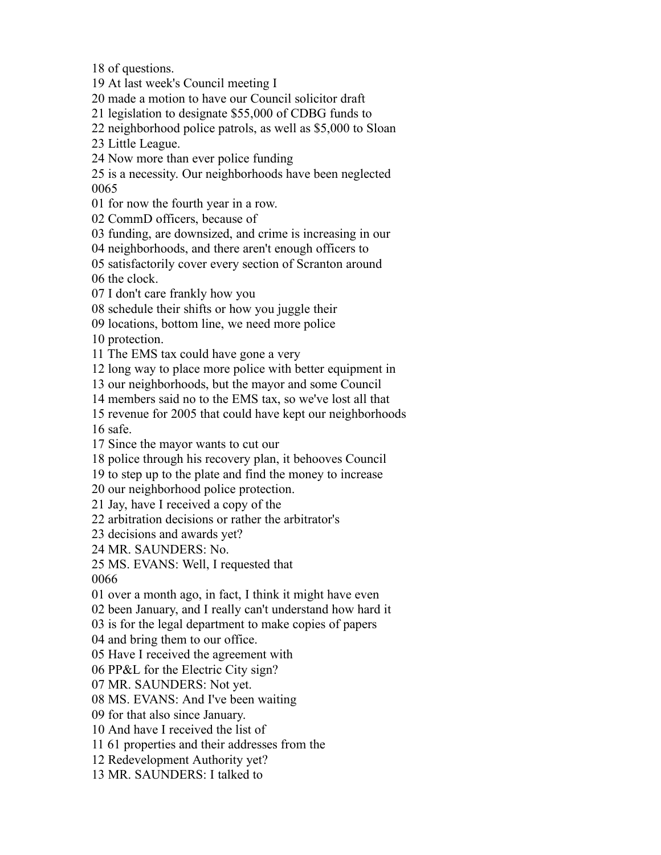of questions.

At last week's Council meeting I

made a motion to have our Council solicitor draft

legislation to designate \$55,000 of CDBG funds to

neighborhood police patrols, as well as \$5,000 to Sloan

Little League.

Now more than ever police funding

 is a necessity. Our neighborhoods have been neglected 

for now the fourth year in a row.

CommD officers, because of

funding, are downsized, and crime is increasing in our

neighborhoods, and there aren't enough officers to

satisfactorily cover every section of Scranton around

the clock.

I don't care frankly how you

schedule their shifts or how you juggle their

locations, bottom line, we need more police

protection.

The EMS tax could have gone a very

long way to place more police with better equipment in

our neighborhoods, but the mayor and some Council

members said no to the EMS tax, so we've lost all that

revenue for 2005 that could have kept our neighborhoods

safe.

Since the mayor wants to cut our

police through his recovery plan, it behooves Council

to step up to the plate and find the money to increase

our neighborhood police protection.

Jay, have I received a copy of the

arbitration decisions or rather the arbitrator's

decisions and awards yet?

MR. SAUNDERS: No.

MS. EVANS: Well, I requested that

over a month ago, in fact, I think it might have even

been January, and I really can't understand how hard it

is for the legal department to make copies of papers

and bring them to our office.

Have I received the agreement with

PP&L for the Electric City sign?

MR. SAUNDERS: Not yet.

MS. EVANS: And I've been waiting

for that also since January.

And have I received the list of

61 properties and their addresses from the

Redevelopment Authority yet?

MR. SAUNDERS: I talked to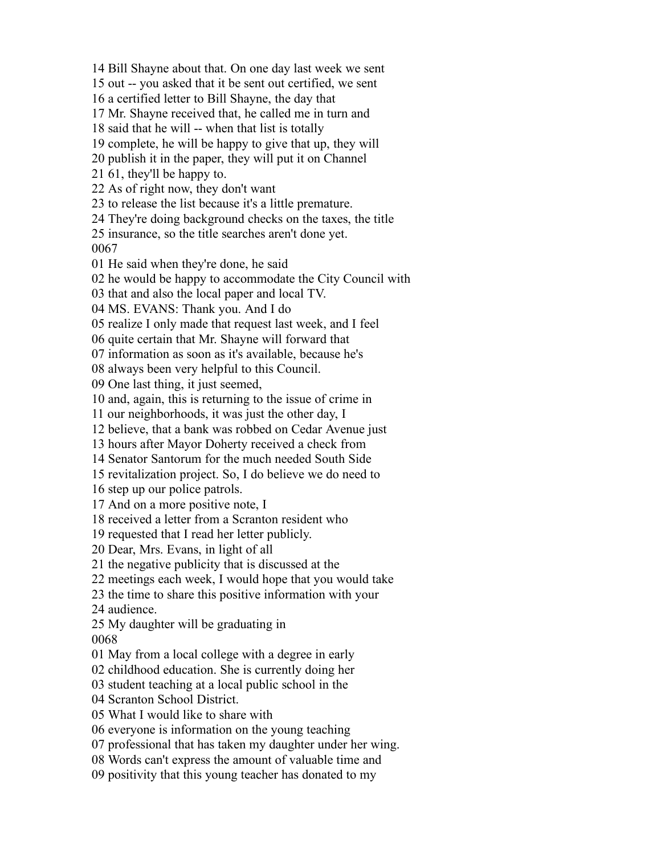Bill Shayne about that. On one day last week we sent out -- you asked that it be sent out certified, we sent a certified letter to Bill Shayne, the day that Mr. Shayne received that, he called me in turn and said that he will -- when that list is totally complete, he will be happy to give that up, they will publish it in the paper, they will put it on Channel 61, they'll be happy to. As of right now, they don't want to release the list because it's a little premature. They're doing background checks on the taxes, the title insurance, so the title searches aren't done yet. He said when they're done, he said he would be happy to accommodate the City Council with that and also the local paper and local TV. MS. EVANS: Thank you. And I do realize I only made that request last week, and I feel quite certain that Mr. Shayne will forward that information as soon as it's available, because he's always been very helpful to this Council. One last thing, it just seemed, and, again, this is returning to the issue of crime in our neighborhoods, it was just the other day, I believe, that a bank was robbed on Cedar Avenue just hours after Mayor Doherty received a check from Senator Santorum for the much needed South Side revitalization project. So, I do believe we do need to step up our police patrols. And on a more positive note, I received a letter from a Scranton resident who requested that I read her letter publicly. Dear, Mrs. Evans, in light of all the negative publicity that is discussed at the meetings each week, I would hope that you would take the time to share this positive information with your audience. My daughter will be graduating in May from a local college with a degree in early childhood education. She is currently doing her student teaching at a local public school in the Scranton School District. What I would like to share with everyone is information on the young teaching professional that has taken my daughter under her wing. Words can't express the amount of valuable time and positivity that this young teacher has donated to my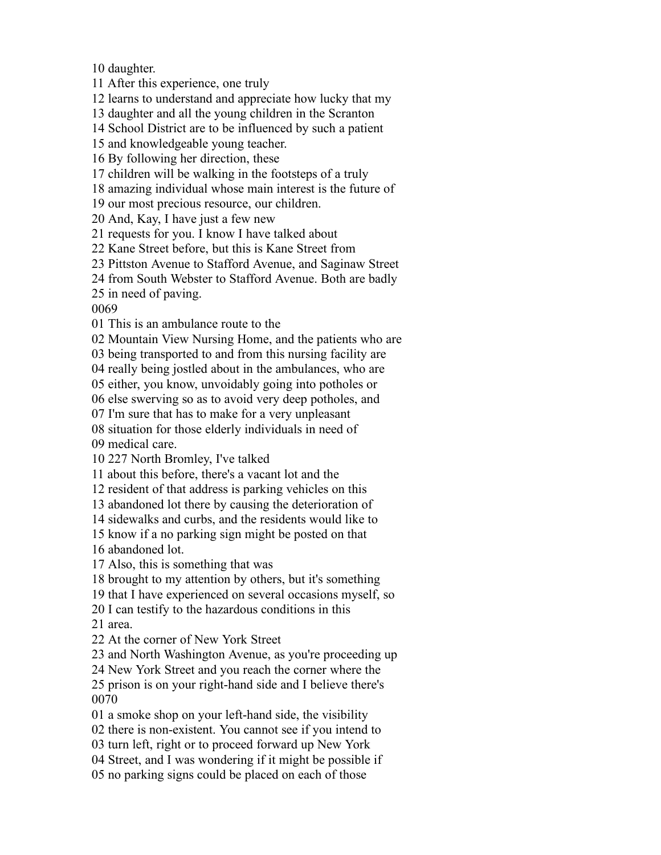daughter.

After this experience, one truly

learns to understand and appreciate how lucky that my

daughter and all the young children in the Scranton

School District are to be influenced by such a patient

and knowledgeable young teacher.

By following her direction, these

children will be walking in the footsteps of a truly

amazing individual whose main interest is the future of

our most precious resource, our children.

And, Kay, I have just a few new

requests for you. I know I have talked about

Kane Street before, but this is Kane Street from

Pittston Avenue to Stafford Avenue, and Saginaw Street

from South Webster to Stafford Avenue. Both are badly

in need of paving.

This is an ambulance route to the

Mountain View Nursing Home, and the patients who are

being transported to and from this nursing facility are

really being jostled about in the ambulances, who are

either, you know, unvoidably going into potholes or

else swerving so as to avoid very deep potholes, and

I'm sure that has to make for a very unpleasant

situation for those elderly individuals in need of

medical care.

227 North Bromley, I've talked

about this before, there's a vacant lot and the

resident of that address is parking vehicles on this

abandoned lot there by causing the deterioration of

sidewalks and curbs, and the residents would like to

know if a no parking sign might be posted on that

abandoned lot.

Also, this is something that was

brought to my attention by others, but it's something

that I have experienced on several occasions myself, so

 I can testify to the hazardous conditions in this area.

At the corner of New York Street

and North Washington Avenue, as you're proceeding up

New York Street and you reach the corner where the

 prison is on your right-hand side and I believe there's 

a smoke shop on your left-hand side, the visibility

there is non-existent. You cannot see if you intend to

turn left, right or to proceed forward up New York

Street, and I was wondering if it might be possible if

no parking signs could be placed on each of those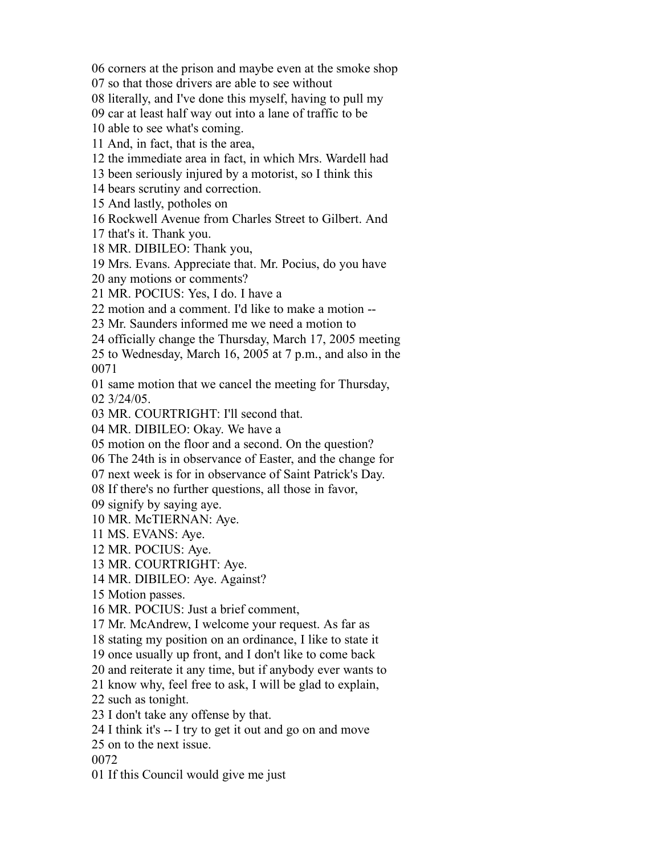corners at the prison and maybe even at the smoke shop

so that those drivers are able to see without

literally, and I've done this myself, having to pull my

car at least half way out into a lane of traffic to be

able to see what's coming.

And, in fact, that is the area,

the immediate area in fact, in which Mrs. Wardell had

been seriously injured by a motorist, so I think this

bears scrutiny and correction.

And lastly, potholes on

Rockwell Avenue from Charles Street to Gilbert. And

that's it. Thank you.

MR. DIBILEO: Thank you,

Mrs. Evans. Appreciate that. Mr. Pocius, do you have

any motions or comments?

MR. POCIUS: Yes, I do. I have a

motion and a comment. I'd like to make a motion --

Mr. Saunders informed me we need a motion to

officially change the Thursday, March 17, 2005 meeting

 to Wednesday, March 16, 2005 at 7 p.m., and also in the 

 same motion that we cancel the meeting for Thursday, 3/24/05.

MR. COURTRIGHT: I'll second that.

MR. DIBILEO: Okay. We have a

motion on the floor and a second. On the question?

The 24th is in observance of Easter, and the change for

next week is for in observance of Saint Patrick's Day.

If there's no further questions, all those in favor,

signify by saying aye.

MR. McTIERNAN: Aye.

MS. EVANS: Aye.

MR. POCIUS: Aye.

MR. COURTRIGHT: Aye.

MR. DIBILEO: Aye. Against?

Motion passes.

MR. POCIUS: Just a brief comment,

Mr. McAndrew, I welcome your request. As far as

stating my position on an ordinance, I like to state it

once usually up front, and I don't like to come back

and reiterate it any time, but if anybody ever wants to

know why, feel free to ask, I will be glad to explain,

such as tonight.

I don't take any offense by that.

I think it's -- I try to get it out and go on and move

on to the next issue.

If this Council would give me just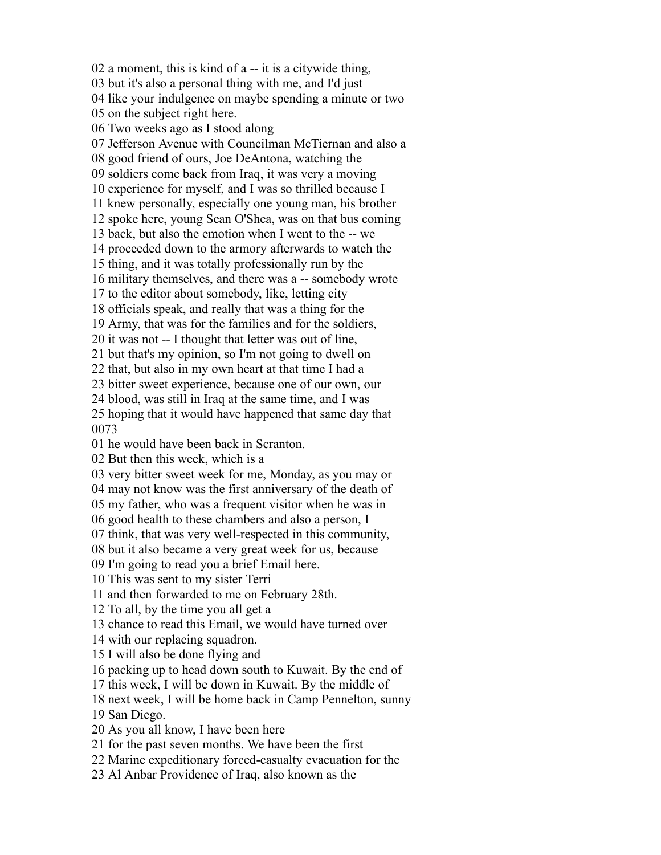a moment, this is kind of a -- it is a citywide thing, but it's also a personal thing with me, and I'd just like your indulgence on maybe spending a minute or two on the subject right here. Two weeks ago as I stood along Jefferson Avenue with Councilman McTiernan and also a good friend of ours, Joe DeAntona, watching the soldiers come back from Iraq, it was very a moving experience for myself, and I was so thrilled because I knew personally, especially one young man, his brother spoke here, young Sean O'Shea, was on that bus coming back, but also the emotion when I went to the -- we proceeded down to the armory afterwards to watch the thing, and it was totally professionally run by the military themselves, and there was a -- somebody wrote to the editor about somebody, like, letting city officials speak, and really that was a thing for the Army, that was for the families and for the soldiers, it was not -- I thought that letter was out of line, but that's my opinion, so I'm not going to dwell on that, but also in my own heart at that time I had a bitter sweet experience, because one of our own, our blood, was still in Iraq at the same time, and I was hoping that it would have happened that same day that he would have been back in Scranton. But then this week, which is a very bitter sweet week for me, Monday, as you may or may not know was the first anniversary of the death of my father, who was a frequent visitor when he was in good health to these chambers and also a person, I think, that was very well-respected in this community, but it also became a very great week for us, because I'm going to read you a brief Email here. This was sent to my sister Terri and then forwarded to me on February 28th. To all, by the time you all get a chance to read this Email, we would have turned over with our replacing squadron. I will also be done flying and packing up to head down south to Kuwait. By the end of this week, I will be down in Kuwait. By the middle of next week, I will be home back in Camp Pennelton, sunny San Diego. As you all know, I have been here for the past seven months. We have been the first

Marine expeditionary forced-casualty evacuation for the

Al Anbar Providence of Iraq, also known as the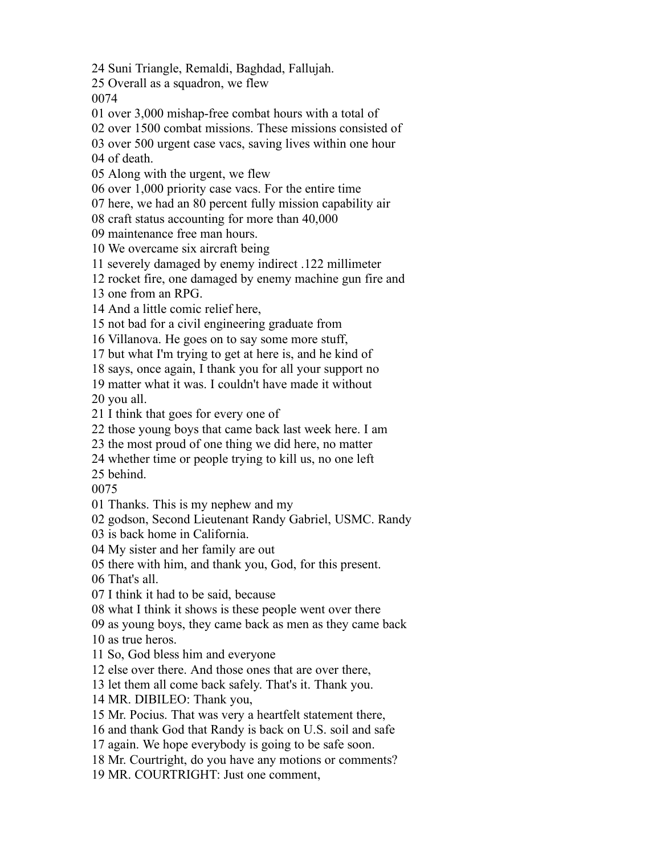Suni Triangle, Remaldi, Baghdad, Fallujah.

Overall as a squadron, we flew

over 3,000 mishap-free combat hours with a total of

over 1500 combat missions. These missions consisted of

over 500 urgent case vacs, saving lives within one hour

of death.

Along with the urgent, we flew

over 1,000 priority case vacs. For the entire time

here, we had an 80 percent fully mission capability air

craft status accounting for more than 40,000

maintenance free man hours.

We overcame six aircraft being

severely damaged by enemy indirect .122 millimeter

rocket fire, one damaged by enemy machine gun fire and

one from an RPG.

And a little comic relief here,

not bad for a civil engineering graduate from

Villanova. He goes on to say some more stuff,

but what I'm trying to get at here is, and he kind of

says, once again, I thank you for all your support no

matter what it was. I couldn't have made it without

you all.

I think that goes for every one of

those young boys that came back last week here. I am

the most proud of one thing we did here, no matter

whether time or people trying to kill us, no one left

behind.

Thanks. This is my nephew and my

godson, Second Lieutenant Randy Gabriel, USMC. Randy

is back home in California.

My sister and her family are out

there with him, and thank you, God, for this present.

That's all.

I think it had to be said, because

what I think it shows is these people went over there

as young boys, they came back as men as they came back

as true heros.

So, God bless him and everyone

else over there. And those ones that are over there,

let them all come back safely. That's it. Thank you.

MR. DIBILEO: Thank you,

Mr. Pocius. That was very a heartfelt statement there,

and thank God that Randy is back on U.S. soil and safe

again. We hope everybody is going to be safe soon.

Mr. Courtright, do you have any motions or comments?

MR. COURTRIGHT: Just one comment,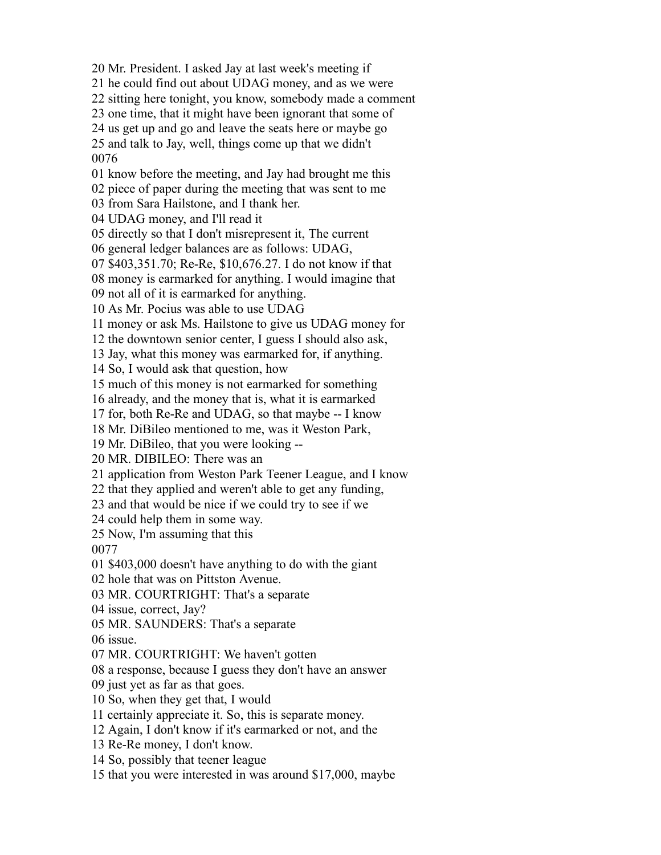Mr. President. I asked Jay at last week's meeting if

he could find out about UDAG money, and as we were

sitting here tonight, you know, somebody made a comment

one time, that it might have been ignorant that some of

us get up and go and leave the seats here or maybe go

 and talk to Jay, well, things come up that we didn't 

know before the meeting, and Jay had brought me this

piece of paper during the meeting that was sent to me

from Sara Hailstone, and I thank her.

UDAG money, and I'll read it

directly so that I don't misrepresent it, The current

general ledger balances are as follows: UDAG,

\$403,351.70; Re-Re, \$10,676.27. I do not know if that

money is earmarked for anything. I would imagine that

not all of it is earmarked for anything.

As Mr. Pocius was able to use UDAG

money or ask Ms. Hailstone to give us UDAG money for

the downtown senior center, I guess I should also ask,

Jay, what this money was earmarked for, if anything.

So, I would ask that question, how

much of this money is not earmarked for something

already, and the money that is, what it is earmarked

for, both Re-Re and UDAG, so that maybe -- I know

Mr. DiBileo mentioned to me, was it Weston Park,

Mr. DiBileo, that you were looking --

MR. DIBILEO: There was an

application from Weston Park Teener League, and I know

that they applied and weren't able to get any funding,

and that would be nice if we could try to see if we

could help them in some way.

Now, I'm assuming that this

\$403,000 doesn't have anything to do with the giant

hole that was on Pittston Avenue.

MR. COURTRIGHT: That's a separate

issue, correct, Jay?

MR. SAUNDERS: That's a separate

issue.

MR. COURTRIGHT: We haven't gotten

a response, because I guess they don't have an answer

just yet as far as that goes.

So, when they get that, I would

certainly appreciate it. So, this is separate money.

Again, I don't know if it's earmarked or not, and the

Re-Re money, I don't know.

So, possibly that teener league

that you were interested in was around \$17,000, maybe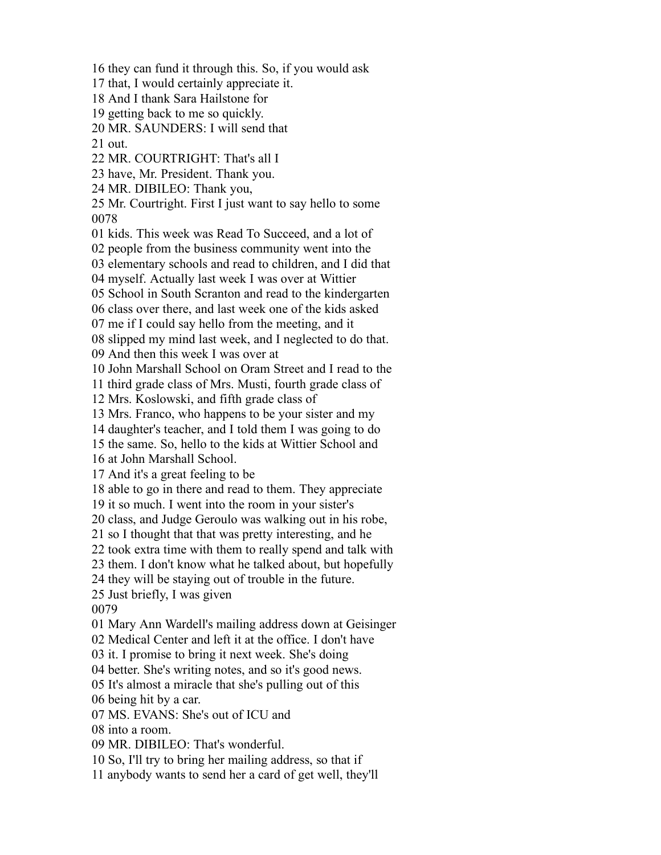they can fund it through this. So, if you would ask that, I would certainly appreciate it. And I thank Sara Hailstone for getting back to me so quickly. MR. SAUNDERS: I will send that out. MR. COURTRIGHT: That's all I have, Mr. President. Thank you. MR. DIBILEO: Thank you, Mr. Courtright. First I just want to say hello to some kids. This week was Read To Succeed, and a lot of people from the business community went into the elementary schools and read to children, and I did that myself. Actually last week I was over at Wittier School in South Scranton and read to the kindergarten class over there, and last week one of the kids asked me if I could say hello from the meeting, and it slipped my mind last week, and I neglected to do that. And then this week I was over at John Marshall School on Oram Street and I read to the third grade class of Mrs. Musti, fourth grade class of Mrs. Koslowski, and fifth grade class of Mrs. Franco, who happens to be your sister and my daughter's teacher, and I told them I was going to do the same. So, hello to the kids at Wittier School and at John Marshall School. And it's a great feeling to be able to go in there and read to them. They appreciate it so much. I went into the room in your sister's class, and Judge Geroulo was walking out in his robe, so I thought that that was pretty interesting, and he took extra time with them to really spend and talk with them. I don't know what he talked about, but hopefully they will be staying out of trouble in the future. Just briefly, I was given Mary Ann Wardell's mailing address down at Geisinger Medical Center and left it at the office. I don't have it. I promise to bring it next week. She's doing better. She's writing notes, and so it's good news. It's almost a miracle that she's pulling out of this being hit by a car. MS. EVANS: She's out of ICU and into a room. MR. DIBILEO: That's wonderful. So, I'll try to bring her mailing address, so that if anybody wants to send her a card of get well, they'll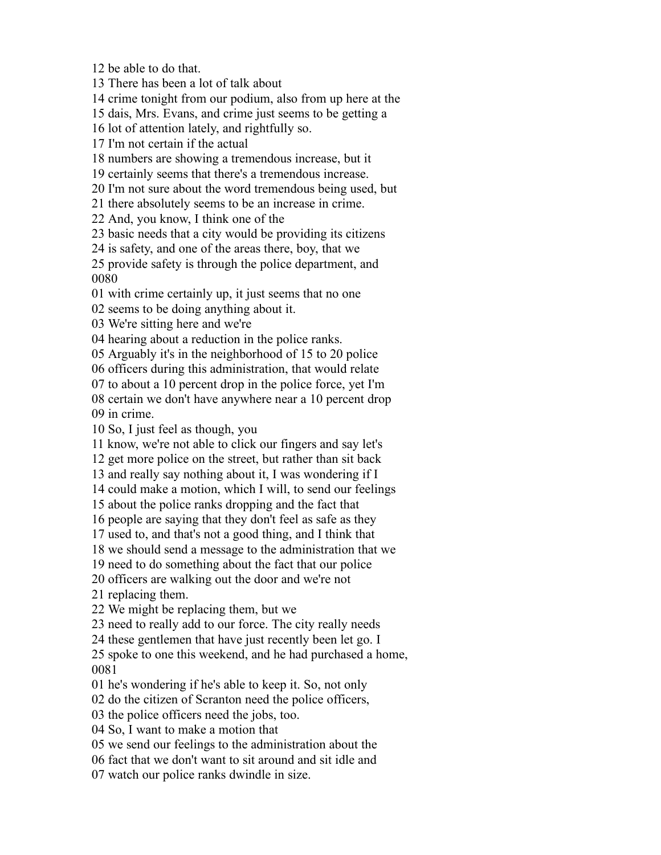be able to do that.

There has been a lot of talk about

crime tonight from our podium, also from up here at the

dais, Mrs. Evans, and crime just seems to be getting a

lot of attention lately, and rightfully so.

I'm not certain if the actual

numbers are showing a tremendous increase, but it

certainly seems that there's a tremendous increase.

I'm not sure about the word tremendous being used, but

there absolutely seems to be an increase in crime.

And, you know, I think one of the

basic needs that a city would be providing its citizens

is safety, and one of the areas there, boy, that we

 provide safety is through the police department, and 

with crime certainly up, it just seems that no one

seems to be doing anything about it.

We're sitting here and we're

hearing about a reduction in the police ranks.

Arguably it's in the neighborhood of 15 to 20 police

officers during this administration, that would relate

to about a 10 percent drop in the police force, yet I'm

 certain we don't have anywhere near a 10 percent drop in crime.

So, I just feel as though, you

know, we're not able to click our fingers and say let's

get more police on the street, but rather than sit back

and really say nothing about it, I was wondering if I

could make a motion, which I will, to send our feelings

about the police ranks dropping and the fact that

people are saying that they don't feel as safe as they

used to, and that's not a good thing, and I think that

we should send a message to the administration that we

need to do something about the fact that our police

officers are walking out the door and we're not

replacing them.

We might be replacing them, but we

need to really add to our force. The city really needs

these gentlemen that have just recently been let go. I

 spoke to one this weekend, and he had purchased a home, 

he's wondering if he's able to keep it. So, not only

do the citizen of Scranton need the police officers,

the police officers need the jobs, too.

So, I want to make a motion that

we send our feelings to the administration about the

fact that we don't want to sit around and sit idle and

watch our police ranks dwindle in size.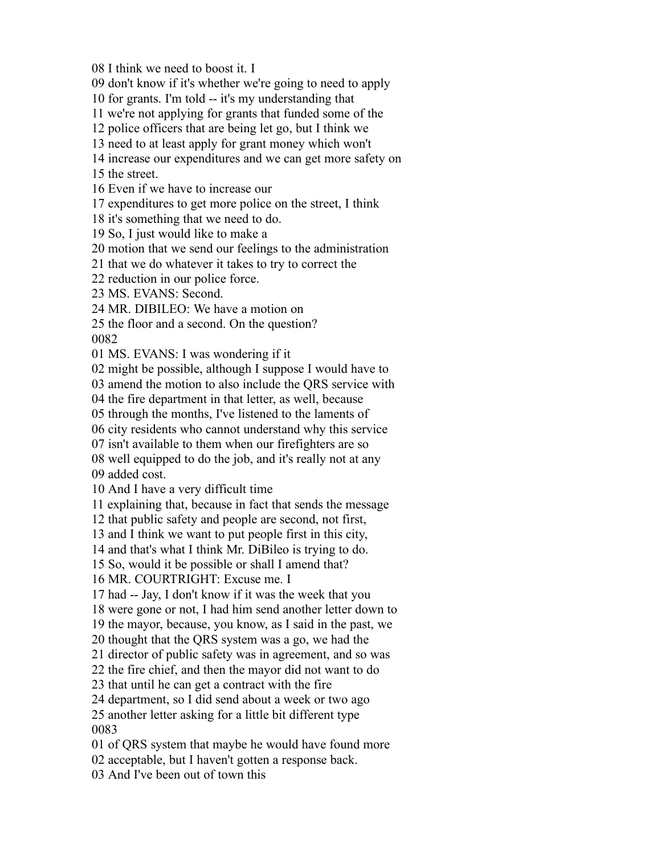I think we need to boost it. I

don't know if it's whether we're going to need to apply

for grants. I'm told -- it's my understanding that

we're not applying for grants that funded some of the

police officers that are being let go, but I think we

need to at least apply for grant money which won't

increase our expenditures and we can get more safety on

the street.

Even if we have to increase our

expenditures to get more police on the street, I think

it's something that we need to do.

So, I just would like to make a

motion that we send our feelings to the administration

that we do whatever it takes to try to correct the

reduction in our police force.

MS. EVANS: Second.

MR. DIBILEO: We have a motion on

 the floor and a second. On the question? 

MS. EVANS: I was wondering if it

might be possible, although I suppose I would have to

amend the motion to also include the QRS service with

the fire department in that letter, as well, because

through the months, I've listened to the laments of

city residents who cannot understand why this service

isn't available to them when our firefighters are so

 well equipped to do the job, and it's really not at any added cost.

And I have a very difficult time

explaining that, because in fact that sends the message

that public safety and people are second, not first,

and I think we want to put people first in this city,

and that's what I think Mr. DiBileo is trying to do.

So, would it be possible or shall I amend that?

MR. COURTRIGHT: Excuse me. I

had -- Jay, I don't know if it was the week that you

were gone or not, I had him send another letter down to

the mayor, because, you know, as I said in the past, we

thought that the QRS system was a go, we had the

director of public safety was in agreement, and so was

the fire chief, and then the mayor did not want to do

that until he can get a contract with the fire

department, so I did send about a week or two ago

 another letter asking for a little bit different type 

of QRS system that maybe he would have found more

acceptable, but I haven't gotten a response back.

And I've been out of town this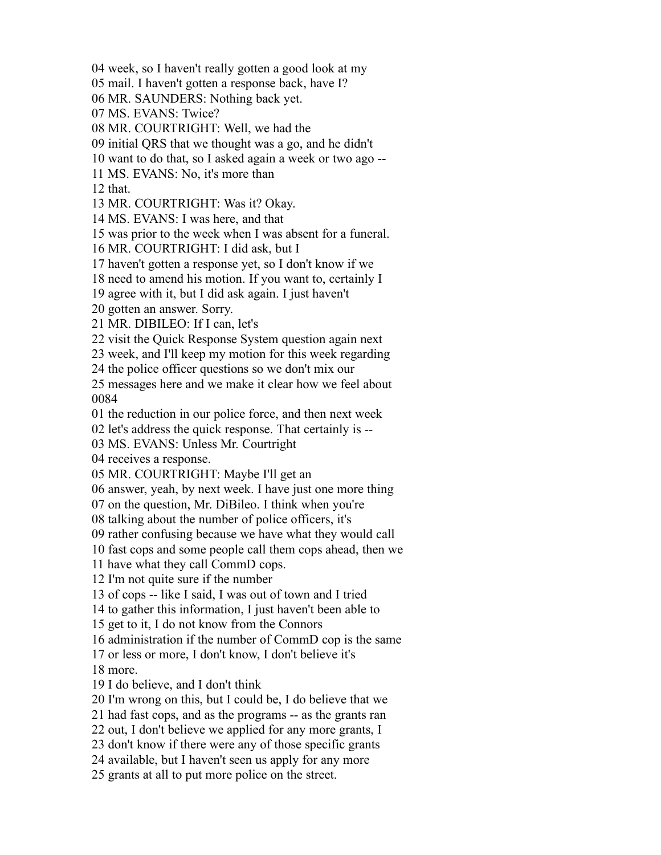week, so I haven't really gotten a good look at my

mail. I haven't gotten a response back, have I?

MR. SAUNDERS: Nothing back yet.

MS. EVANS: Twice?

MR. COURTRIGHT: Well, we had the

initial QRS that we thought was a go, and he didn't

want to do that, so I asked again a week or two ago --

MS. EVANS: No, it's more than

that.

MR. COURTRIGHT: Was it? Okay.

MS. EVANS: I was here, and that

was prior to the week when I was absent for a funeral.

MR. COURTRIGHT: I did ask, but I

haven't gotten a response yet, so I don't know if we

need to amend his motion. If you want to, certainly I

agree with it, but I did ask again. I just haven't

gotten an answer. Sorry.

MR. DIBILEO: If I can, let's

visit the Quick Response System question again next

week, and I'll keep my motion for this week regarding

the police officer questions so we don't mix our

 messages here and we make it clear how we feel about 

the reduction in our police force, and then next week

let's address the quick response. That certainly is --

MS. EVANS: Unless Mr. Courtright

receives a response.

MR. COURTRIGHT: Maybe I'll get an

answer, yeah, by next week. I have just one more thing

on the question, Mr. DiBileo. I think when you're

talking about the number of police officers, it's

rather confusing because we have what they would call

fast cops and some people call them cops ahead, then we

have what they call CommD cops.

I'm not quite sure if the number

of cops -- like I said, I was out of town and I tried

to gather this information, I just haven't been able to

get to it, I do not know from the Connors

administration if the number of CommD cop is the same

or less or more, I don't know, I don't believe it's

more.

I do believe, and I don't think

I'm wrong on this, but I could be, I do believe that we

had fast cops, and as the programs -- as the grants ran

out, I don't believe we applied for any more grants, I

don't know if there were any of those specific grants

available, but I haven't seen us apply for any more

grants at all to put more police on the street.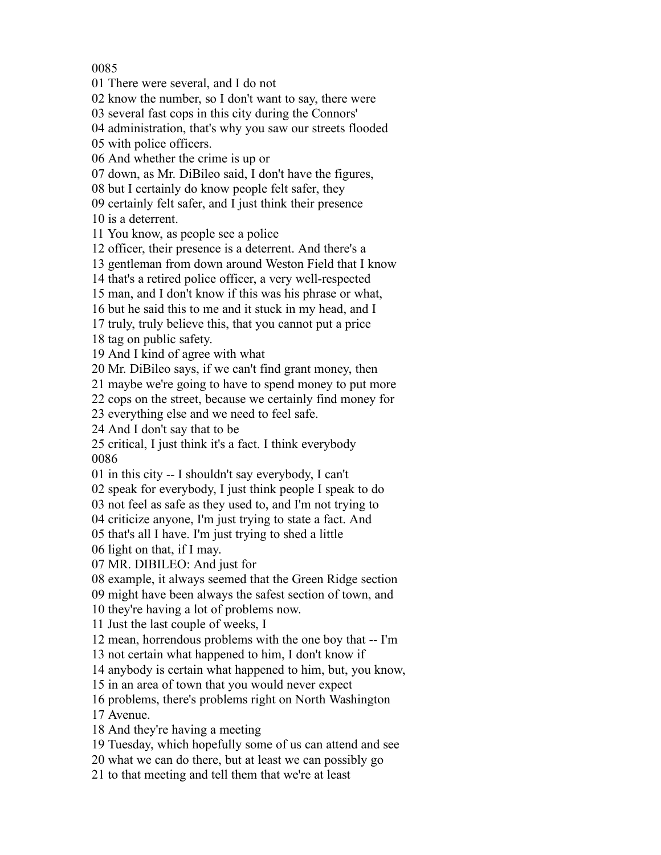There were several, and I do not

know the number, so I don't want to say, there were

several fast cops in this city during the Connors'

administration, that's why you saw our streets flooded

with police officers.

And whether the crime is up or

down, as Mr. DiBileo said, I don't have the figures,

but I certainly do know people felt safer, they

certainly felt safer, and I just think their presence

is a deterrent.

You know, as people see a police

officer, their presence is a deterrent. And there's a

gentleman from down around Weston Field that I know

that's a retired police officer, a very well-respected

man, and I don't know if this was his phrase or what,

but he said this to me and it stuck in my head, and I

truly, truly believe this, that you cannot put a price

tag on public safety.

And I kind of agree with what

Mr. DiBileo says, if we can't find grant money, then

maybe we're going to have to spend money to put more

cops on the street, because we certainly find money for

everything else and we need to feel safe.

And I don't say that to be

 critical, I just think it's a fact. I think everybody 

in this city -- I shouldn't say everybody, I can't

speak for everybody, I just think people I speak to do

not feel as safe as they used to, and I'm not trying to

criticize anyone, I'm just trying to state a fact. And

that's all I have. I'm just trying to shed a little

light on that, if I may.

MR. DIBILEO: And just for

example, it always seemed that the Green Ridge section

might have been always the safest section of town, and

they're having a lot of problems now.

Just the last couple of weeks, I

mean, horrendous problems with the one boy that -- I'm

not certain what happened to him, I don't know if

anybody is certain what happened to him, but, you know,

in an area of town that you would never expect

problems, there's problems right on North Washington

Avenue.

And they're having a meeting

Tuesday, which hopefully some of us can attend and see

what we can do there, but at least we can possibly go

to that meeting and tell them that we're at least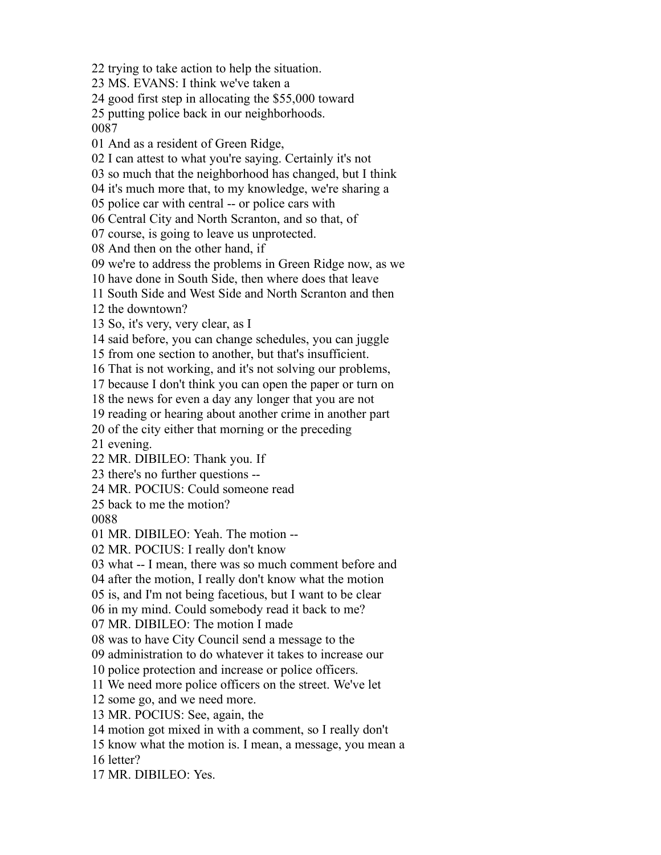trying to take action to help the situation.

MS. EVANS: I think we've taken a

good first step in allocating the \$55,000 toward

 putting police back in our neighborhoods. 

And as a resident of Green Ridge,

I can attest to what you're saying. Certainly it's not

so much that the neighborhood has changed, but I think

it's much more that, to my knowledge, we're sharing a

police car with central -- or police cars with

Central City and North Scranton, and so that, of

course, is going to leave us unprotected.

And then on the other hand, if

we're to address the problems in Green Ridge now, as we

have done in South Side, then where does that leave

South Side and West Side and North Scranton and then

the downtown?

So, it's very, very clear, as I

said before, you can change schedules, you can juggle

from one section to another, but that's insufficient.

That is not working, and it's not solving our problems,

because I don't think you can open the paper or turn on

the news for even a day any longer that you are not

reading or hearing about another crime in another part

of the city either that morning or the preceding

evening.

MR. DIBILEO: Thank you. If

there's no further questions --

MR. POCIUS: Could someone read

back to me the motion?

MR. DIBILEO: Yeah. The motion --

MR. POCIUS: I really don't know

what -- I mean, there was so much comment before and

after the motion, I really don't know what the motion

is, and I'm not being facetious, but I want to be clear

in my mind. Could somebody read it back to me?

MR. DIBILEO: The motion I made

was to have City Council send a message to the

administration to do whatever it takes to increase our

police protection and increase or police officers.

We need more police officers on the street. We've let

some go, and we need more.

MR. POCIUS: See, again, the

motion got mixed in with a comment, so I really don't

know what the motion is. I mean, a message, you mean a

letter?

MR. DIBILEO: Yes.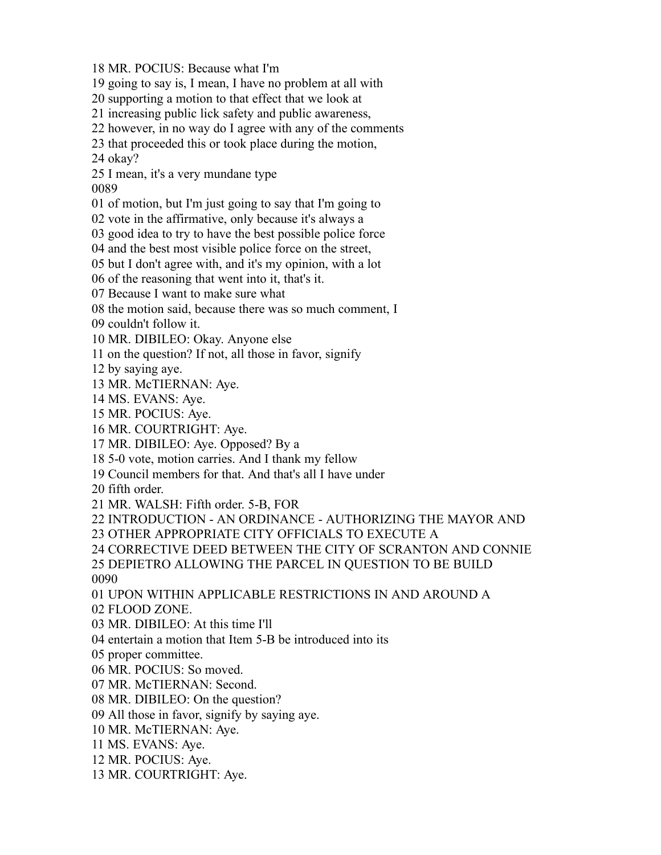MR. POCIUS: Because what I'm

going to say is, I mean, I have no problem at all with

supporting a motion to that effect that we look at

increasing public lick safety and public awareness,

however, in no way do I agree with any of the comments

that proceeded this or took place during the motion,

okay?

I mean, it's a very mundane type

of motion, but I'm just going to say that I'm going to

vote in the affirmative, only because it's always a

good idea to try to have the best possible police force

and the best most visible police force on the street,

but I don't agree with, and it's my opinion, with a lot

of the reasoning that went into it, that's it.

Because I want to make sure what

the motion said, because there was so much comment, I

couldn't follow it.

MR. DIBILEO: Okay. Anyone else

on the question? If not, all those in favor, signify

by saying aye.

MR. McTIERNAN: Aye.

MS. EVANS: Aye.

MR. POCIUS: Aye.

MR. COURTRIGHT: Aye.

MR. DIBILEO: Aye. Opposed? By a

5-0 vote, motion carries. And I thank my fellow

Council members for that. And that's all I have under

fifth order.

MR. WALSH: Fifth order. 5-B, FOR

INTRODUCTION - AN ORDINANCE - AUTHORIZING THE MAYOR AND

OTHER APPROPRIATE CITY OFFICIALS TO EXECUTE A

CORRECTIVE DEED BETWEEN THE CITY OF SCRANTON AND CONNIE

DEPIETRO ALLOWING THE PARCEL IN QUESTION TO BE BUILD

UPON WITHIN APPLICABLE RESTRICTIONS IN AND AROUND A

FLOOD ZONE.

MR. DIBILEO: At this time I'll

entertain a motion that Item 5-B be introduced into its

proper committee.

MR. POCIUS: So moved.

MR. McTIERNAN: Second.

MR. DIBILEO: On the question?

All those in favor, signify by saying aye.

MR. McTIERNAN: Aye.

MS. EVANS: Aye.

MR. POCIUS: Aye.

MR. COURTRIGHT: Aye.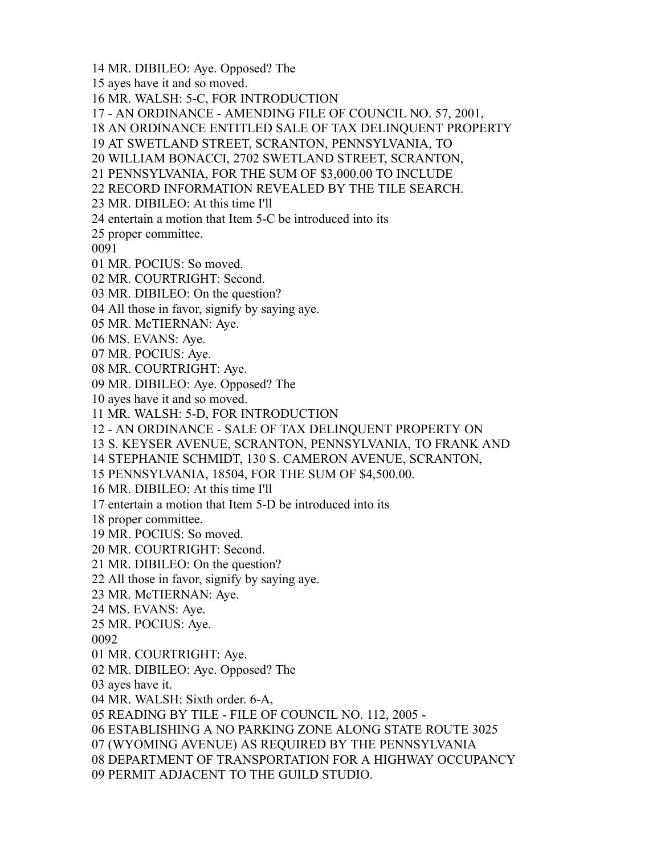MR. DIBILEO: Aye. Opposed? The

ayes have it and so moved.

MR. WALSH: 5-C, FOR INTRODUCTION

- AN ORDINANCE - AMENDING FILE OF COUNCIL NO. 57, 2001,

AN ORDINANCE ENTITLED SALE OF TAX DELINQUENT PROPERTY

AT SWETLAND STREET, SCRANTON, PENNSYLVANIA, TO

WILLIAM BONACCI, 2702 SWETLAND STREET, SCRANTON,

PENNSYLVANIA, FOR THE SUM OF \$3,000.00 TO INCLUDE

RECORD INFORMATION REVEALED BY THE TILE SEARCH.

MR. DIBILEO: At this time I'll

entertain a motion that Item 5-C be introduced into its

proper committee.

MR. POCIUS: So moved.

MR. COURTRIGHT: Second.

MR. DIBILEO: On the question?

All those in favor, signify by saying aye.

MR. McTIERNAN: Aye.

MS. EVANS: Aye.

MR. POCIUS: Aye.

MR. COURTRIGHT: Aye.

MR. DIBILEO: Aye. Opposed? The

ayes have it and so moved.

MR. WALSH: 5-D, FOR INTRODUCTION

- AN ORDINANCE - SALE OF TAX DELINQUENT PROPERTY ON

S. KEYSER AVENUE, SCRANTON, PENNSYLVANIA, TO FRANK AND

STEPHANIE SCHMIDT, 130 S. CAMERON AVENUE, SCRANTON,

PENNSYLVANIA, 18504, FOR THE SUM OF \$4,500.00.

MR. DIBILEO: At this time I'll

entertain a motion that Item 5-D be introduced into its

proper committee.

MR. POCIUS: So moved.

MR. COURTRIGHT: Second.

MR. DIBILEO: On the question?

All those in favor, signify by saying aye.

MR. McTIERNAN: Aye.

MS. EVANS: Aye.

MR. POCIUS: Aye.

MR. COURTRIGHT: Aye.

MR. DIBILEO: Aye. Opposed? The

ayes have it.

MR. WALSH: Sixth order. 6-A,

READING BY TILE - FILE OF COUNCIL NO. 112, 2005 -

ESTABLISHING A NO PARKING ZONE ALONG STATE ROUTE 3025

(WYOMING AVENUE) AS REQUIRED BY THE PENNSYLVANIA

DEPARTMENT OF TRANSPORTATION FOR A HIGHWAY OCCUPANCY

PERMIT ADJACENT TO THE GUILD STUDIO.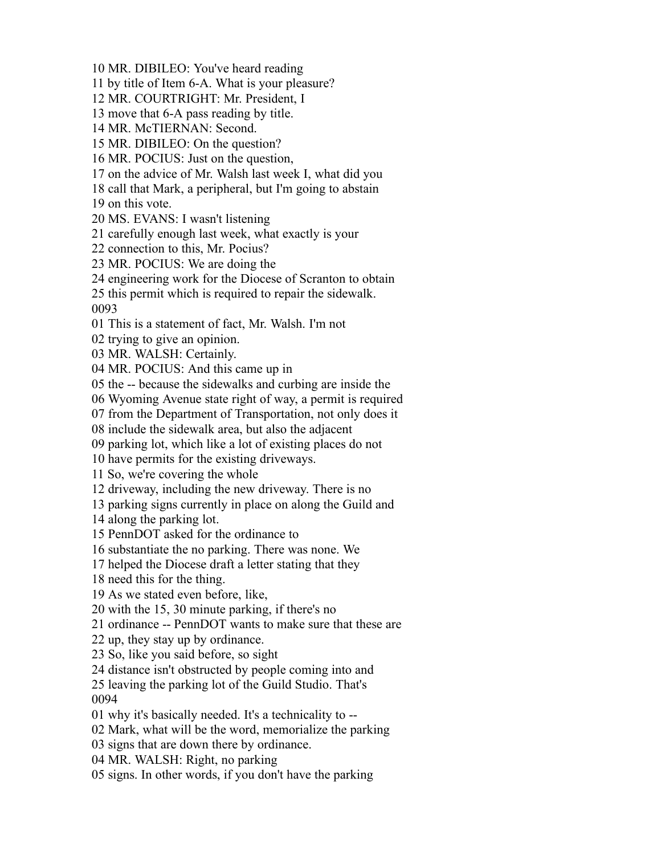MR. DIBILEO: You've heard reading

by title of Item 6-A. What is your pleasure?

MR. COURTRIGHT: Mr. President, I

move that 6-A pass reading by title.

MR. McTIERNAN: Second.

MR. DIBILEO: On the question?

MR. POCIUS: Just on the question,

on the advice of Mr. Walsh last week I, what did you

call that Mark, a peripheral, but I'm going to abstain

on this vote.

MS. EVANS: I wasn't listening

carefully enough last week, what exactly is your

connection to this, Mr. Pocius?

MR. POCIUS: We are doing the

engineering work for the Diocese of Scranton to obtain

this permit which is required to repair the sidewalk.

This is a statement of fact, Mr. Walsh. I'm not

trying to give an opinion.

MR. WALSH: Certainly.

MR. POCIUS: And this came up in

the -- because the sidewalks and curbing are inside the

Wyoming Avenue state right of way, a permit is required

from the Department of Transportation, not only does it

include the sidewalk area, but also the adjacent

parking lot, which like a lot of existing places do not

have permits for the existing driveways.

So, we're covering the whole

driveway, including the new driveway. There is no

parking signs currently in place on along the Guild and

along the parking lot.

PennDOT asked for the ordinance to

substantiate the no parking. There was none. We

helped the Diocese draft a letter stating that they

need this for the thing.

As we stated even before, like,

with the 15, 30 minute parking, if there's no

ordinance -- PennDOT wants to make sure that these are

up, they stay up by ordinance.

So, like you said before, so sight

distance isn't obstructed by people coming into and

 leaving the parking lot of the Guild Studio. That's 

why it's basically needed. It's a technicality to --

Mark, what will be the word, memorialize the parking

signs that are down there by ordinance.

MR. WALSH: Right, no parking

signs. In other words, if you don't have the parking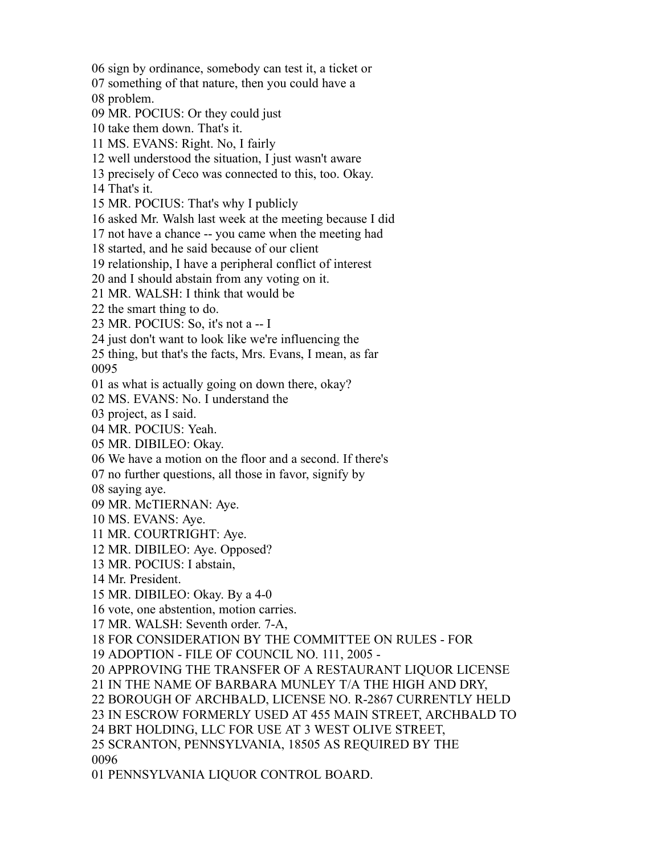sign by ordinance, somebody can test it, a ticket or

something of that nature, then you could have a

problem.

MR. POCIUS: Or they could just

take them down. That's it.

MS. EVANS: Right. No, I fairly

well understood the situation, I just wasn't aware

precisely of Ceco was connected to this, too. Okay.

That's it.

MR. POCIUS: That's why I publicly

asked Mr. Walsh last week at the meeting because I did

not have a chance -- you came when the meeting had

started, and he said because of our client

relationship, I have a peripheral conflict of interest

and I should abstain from any voting on it.

MR. WALSH: I think that would be

the smart thing to do.

MR. POCIUS: So, it's not a -- I

just don't want to look like we're influencing the

 thing, but that's the facts, Mrs. Evans, I mean, as far 

as what is actually going on down there, okay?

MS. EVANS: No. I understand the

project, as I said.

MR. POCIUS: Yeah.

MR. DIBILEO: Okay.

We have a motion on the floor and a second. If there's

no further questions, all those in favor, signify by

saying aye.

MR. McTIERNAN: Aye.

MS. EVANS: Aye.

MR. COURTRIGHT: Aye.

MR. DIBILEO: Aye. Opposed?

MR. POCIUS: I abstain,

Mr. President.

MR. DIBILEO: Okay. By a 4-0

vote, one abstention, motion carries.

MR. WALSH: Seventh order. 7-A,

FOR CONSIDERATION BY THE COMMITTEE ON RULES - FOR

ADOPTION - FILE OF COUNCIL NO. 111, 2005 -

APPROVING THE TRANSFER OF A RESTAURANT LIQUOR LICENSE

IN THE NAME OF BARBARA MUNLEY T/A THE HIGH AND DRY,

BOROUGH OF ARCHBALD, LICENSE NO. R-2867 CURRENTLY HELD

IN ESCROW FORMERLY USED AT 455 MAIN STREET, ARCHBALD TO

BRT HOLDING, LLC FOR USE AT 3 WEST OLIVE STREET,

SCRANTON, PENNSYLVANIA, 18505 AS REQUIRED BY THE

PENNSYLVANIA LIQUOR CONTROL BOARD.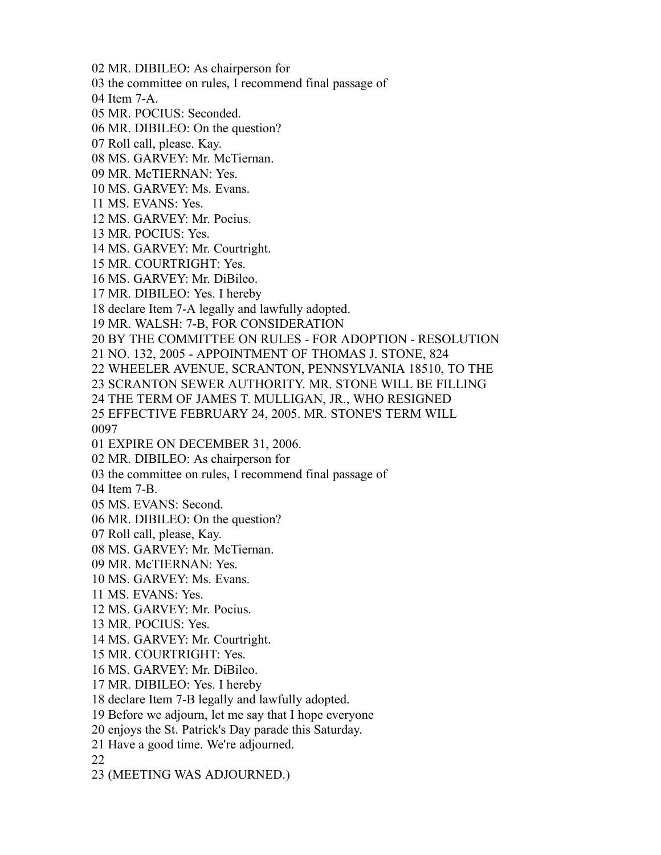- MR. DIBILEO: As chairperson for
- the committee on rules, I recommend final passage of
- Item 7-A.
- MR. POCIUS: Seconded.
- MR. DIBILEO: On the question?
- Roll call, please. Kay.
- MS. GARVEY: Mr. McTiernan.
- MR. McTIERNAN: Yes.
- MS. GARVEY: Ms. Evans.
- MS. EVANS: Yes.
- MS. GARVEY: Mr. Pocius.
- MR. POCIUS: Yes.
- MS. GARVEY: Mr. Courtright.
- MR. COURTRIGHT: Yes.
- MS. GARVEY: Mr. DiBileo.
- MR. DIBILEO: Yes. I hereby
- declare Item 7-A legally and lawfully adopted.
- MR. WALSH: 7-B, FOR CONSIDERATION
- BY THE COMMITTEE ON RULES FOR ADOPTION RESOLUTION
- NO. 132, 2005 APPOINTMENT OF THOMAS J. STONE, 824
- WHEELER AVENUE, SCRANTON, PENNSYLVANIA 18510, TO THE
- SCRANTON SEWER AUTHORITY. MR. STONE WILL BE FILLING

THE TERM OF JAMES T. MULLIGAN, JR., WHO RESIGNED

EFFECTIVE FEBRUARY 24, 2005. MR. STONE'S TERM WILL

- EXPIRE ON DECEMBER 31, 2006.
- MR. DIBILEO: As chairperson for
- the committee on rules, I recommend final passage of
- Item 7-B.
- MS. EVANS: Second.
- MR. DIBILEO: On the question?
- Roll call, please, Kay.
- MS. GARVEY: Mr. McTiernan.
- MR. McTIERNAN: Yes.
- MS. GARVEY: Ms. Evans.
- MS. EVANS: Yes.
- MS. GARVEY: Mr. Pocius.
- MR. POCIUS: Yes.
- MS. GARVEY: Mr. Courtright.
- MR. COURTRIGHT: Yes.
- MS. GARVEY: Mr. DiBileo.
- MR. DIBILEO: Yes. I hereby
- declare Item 7-B legally and lawfully adopted.
- Before we adjourn, let me say that I hope everyone
- enjoys the St. Patrick's Day parade this Saturday.
- Have a good time. We're adjourned.

(MEETING WAS ADJOURNED.)